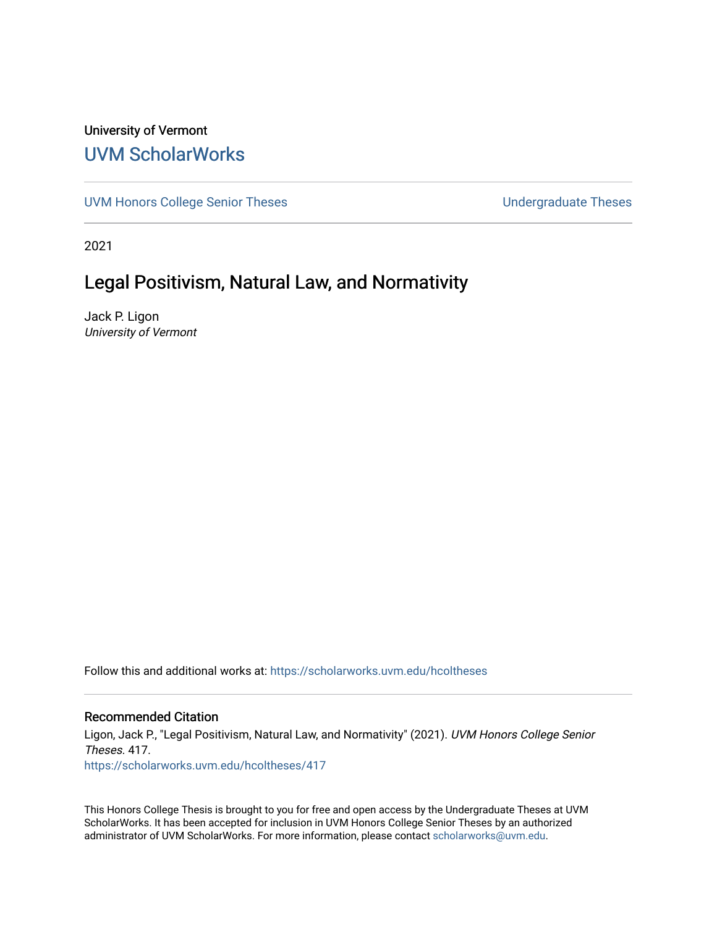## University of Vermont [UVM ScholarWorks](https://scholarworks.uvm.edu/)

[UVM Honors College Senior Theses](https://scholarworks.uvm.edu/hcoltheses) **Exercise Sension** Undergraduate Theses

2021

# Legal Positivism, Natural Law, and Normativity

Jack P. Ligon University of Vermont

Follow this and additional works at: [https://scholarworks.uvm.edu/hcoltheses](https://scholarworks.uvm.edu/hcoltheses?utm_source=scholarworks.uvm.edu%2Fhcoltheses%2F417&utm_medium=PDF&utm_campaign=PDFCoverPages) 

#### Recommended Citation

Ligon, Jack P., "Legal Positivism, Natural Law, and Normativity" (2021). UVM Honors College Senior Theses. 417. [https://scholarworks.uvm.edu/hcoltheses/417](https://scholarworks.uvm.edu/hcoltheses/417?utm_source=scholarworks.uvm.edu%2Fhcoltheses%2F417&utm_medium=PDF&utm_campaign=PDFCoverPages) 

This Honors College Thesis is brought to you for free and open access by the Undergraduate Theses at UVM ScholarWorks. It has been accepted for inclusion in UVM Honors College Senior Theses by an authorized administrator of UVM ScholarWorks. For more information, please contact [scholarworks@uvm.edu](mailto:scholarworks@uvm.edu).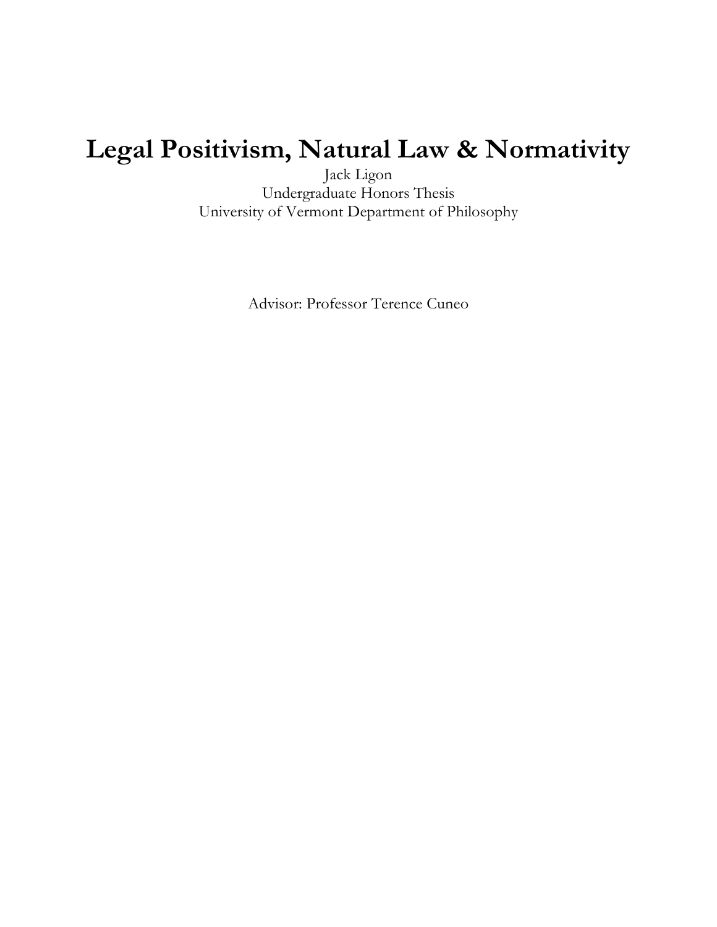# **Legal Positivism, Natural Law & Normativity**

Jack Ligon Undergraduate Honors Thesis University of Vermont Department of Philosophy

Advisor: Professor Terence Cuneo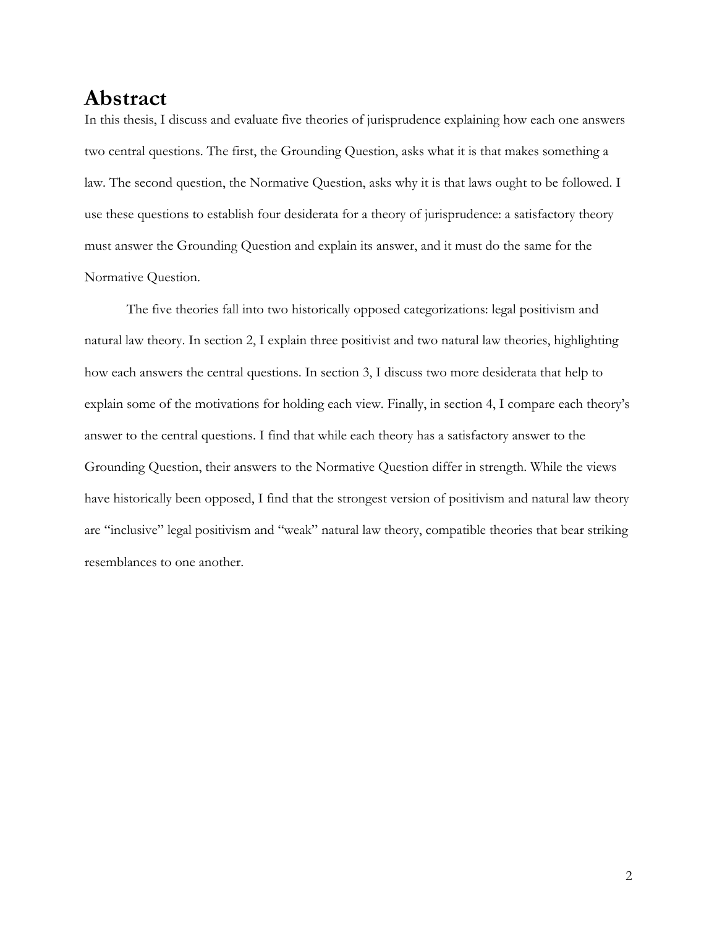## **Abstract**

In this thesis, I discuss and evaluate five theories of jurisprudence explaining how each one answers two central questions. The first, the Grounding Question, asks what it is that makes something a law. The second question, the Normative Question, asks why it is that laws ought to be followed. I use these questions to establish four desiderata for a theory of jurisprudence: a satisfactory theory must answer the Grounding Question and explain its answer, and it must do the same for the Normative Question.

The five theories fall into two historically opposed categorizations: legal positivism and natural law theory. In section 2, I explain three positivist and two natural law theories, highlighting how each answers the central questions. In section 3, I discuss two more desiderata that help to explain some of the motivations for holding each view. Finally, in section 4, I compare each theory's answer to the central questions. I find that while each theory has a satisfactory answer to the Grounding Question, their answers to the Normative Question differ in strength. While the views have historically been opposed, I find that the strongest version of positivism and natural law theory are "inclusive" legal positivism and "weak" natural law theory, compatible theories that bear striking resemblances to one another.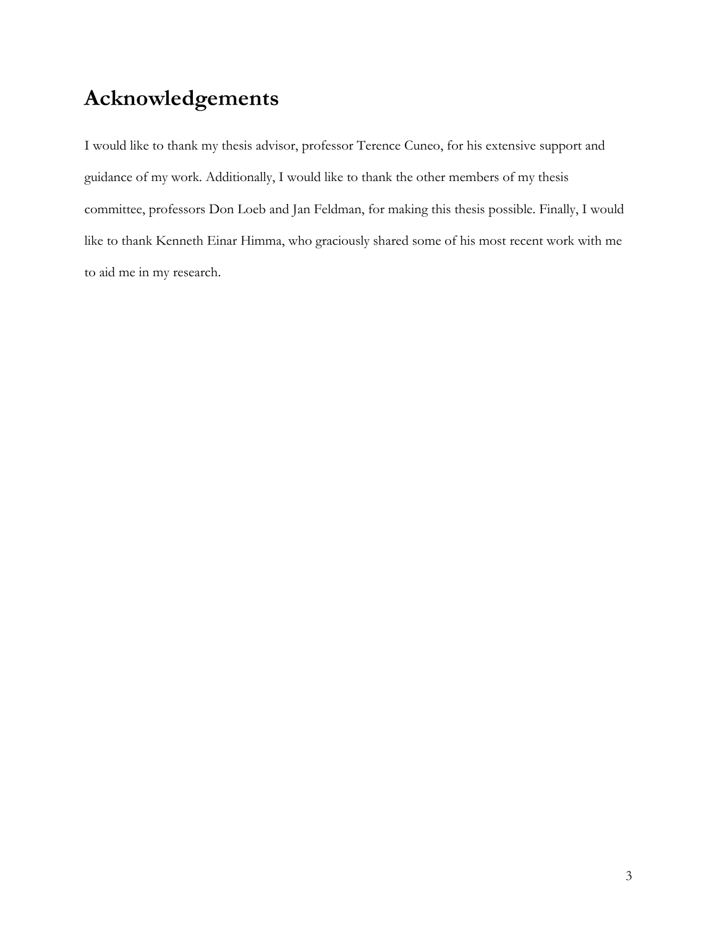# **Acknowledgements**

I would like to thank my thesis advisor, professor Terence Cuneo, for his extensive support and guidance of my work. Additionally, I would like to thank the other members of my thesis committee, professors Don Loeb and Jan Feldman, for making this thesis possible. Finally, I would like to thank Kenneth Einar Himma, who graciously shared some of his most recent work with me to aid me in my research.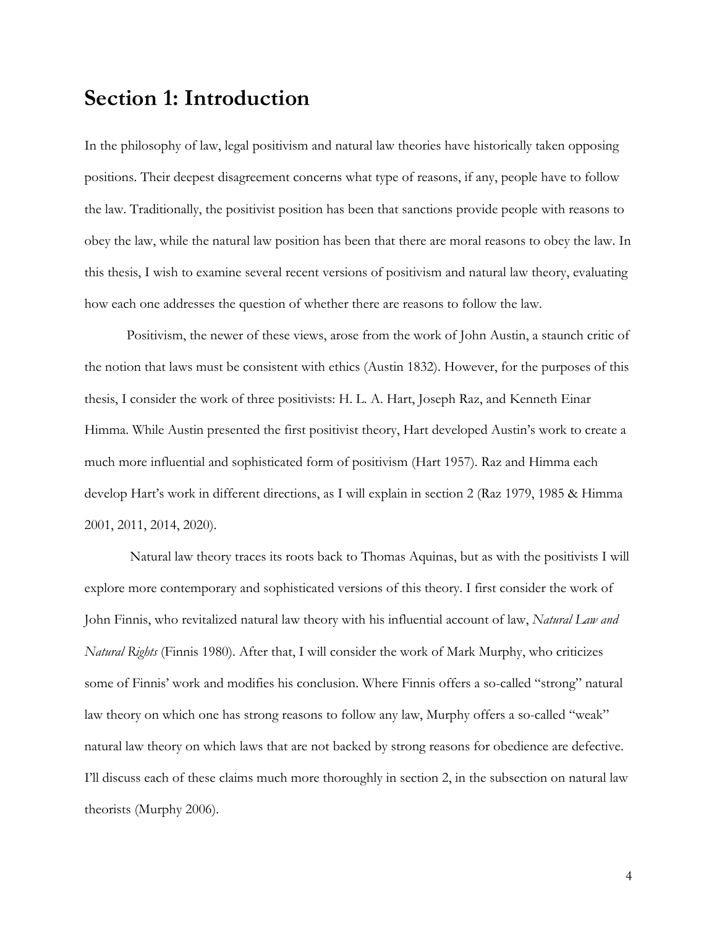## **Section 1: Introduction**

In the philosophy of law, legal positivism and natural law theories have historically taken opposing positions. Their deepest disagreement concerns what type of reasons, if any, people have to follow the law. Traditionally, the positivist position has been that sanctions provide people with reasons to obey the law, while the natural law position has been that there are moral reasons to obey the law. In this thesis, I wish to examine several recent versions of positivism and natural law theory, evaluating how each one addresses the question of whether there are reasons to follow the law.

Positivism, the newer of these views, arose from the work of John Austin, a staunch critic of the notion that laws must be consistent with ethics (Austin 1832). However, for the purposes of this thesis, I consider the work of three positivists: H. L. A. Hart, Joseph Raz, and Kenneth Einar Himma. While Austin presented the first positivist theory, Hart developed Austin's work to create a much more influential and sophisticated form of positivism (Hart 1957). Raz and Himma each develop Hart's work in different directions, as I will explain in section 2 (Raz 1979, 1985 & Himma 2001, 2011, 2014, 2020).

Natural law theory traces its roots back to Thomas Aquinas, but as with the positivists I will explore more contemporary and sophisticated versions of this theory. I first consider the work of John Finnis, who revitalized natural law theory with his influential account of law, *Natural Law and Natural Rights* (Finnis 1980). After that, I will consider the work of Mark Murphy, who criticizes some of Finnis' work and modifies his conclusion. Where Finnis offers a so-called "strong" natural law theory on which one has strong reasons to follow any law, Murphy offers a so-called "weak" natural law theory on which laws that are not backed by strong reasons for obedience are defective. I'll discuss each of these claims much more thoroughly in section 2, in the subsection on natural law theorists (Murphy 2006).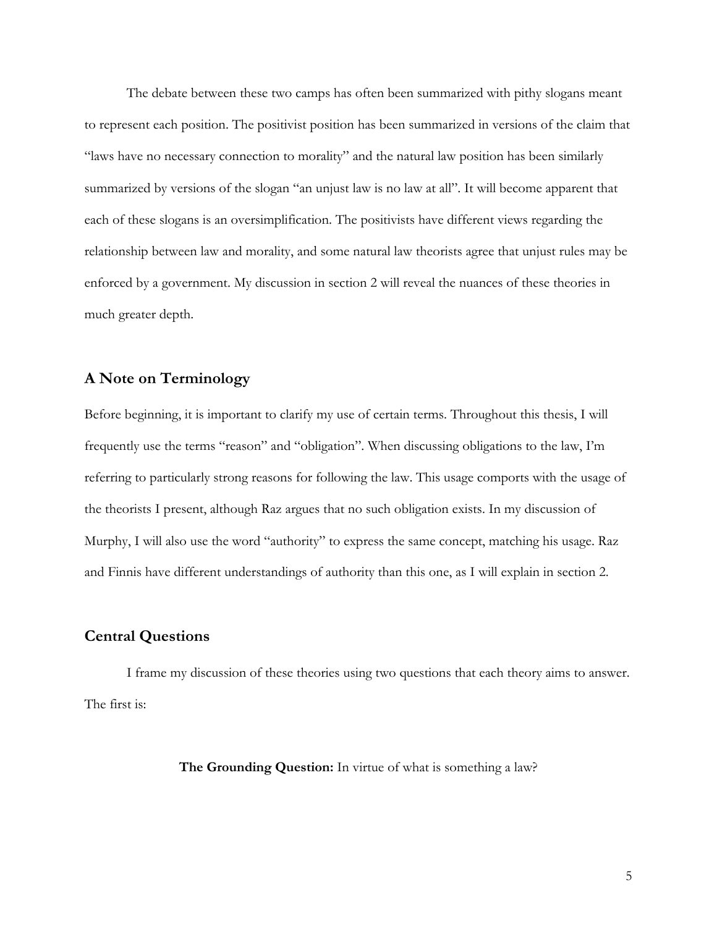The debate between these two camps has often been summarized with pithy slogans meant to represent each position. The positivist position has been summarized in versions of the claim that "laws have no necessary connection to morality" and the natural law position has been similarly summarized by versions of the slogan "an unjust law is no law at all". It will become apparent that each of these slogans is an oversimplification. The positivists have different views regarding the relationship between law and morality, and some natural law theorists agree that unjust rules may be enforced by a government. My discussion in section 2 will reveal the nuances of these theories in much greater depth.

## **A Note on Terminology**

Before beginning, it is important to clarify my use of certain terms. Throughout this thesis, I will frequently use the terms "reason" and "obligation". When discussing obligations to the law, I'm referring to particularly strong reasons for following the law. This usage comports with the usage of the theorists I present, although Raz argues that no such obligation exists. In my discussion of Murphy, I will also use the word "authority" to express the same concept, matching his usage. Raz and Finnis have different understandings of authority than this one, as I will explain in section 2.

## **Central Questions**

I frame my discussion of these theories using two questions that each theory aims to answer. The first is:

**The Grounding Question:** In virtue of what is something a law?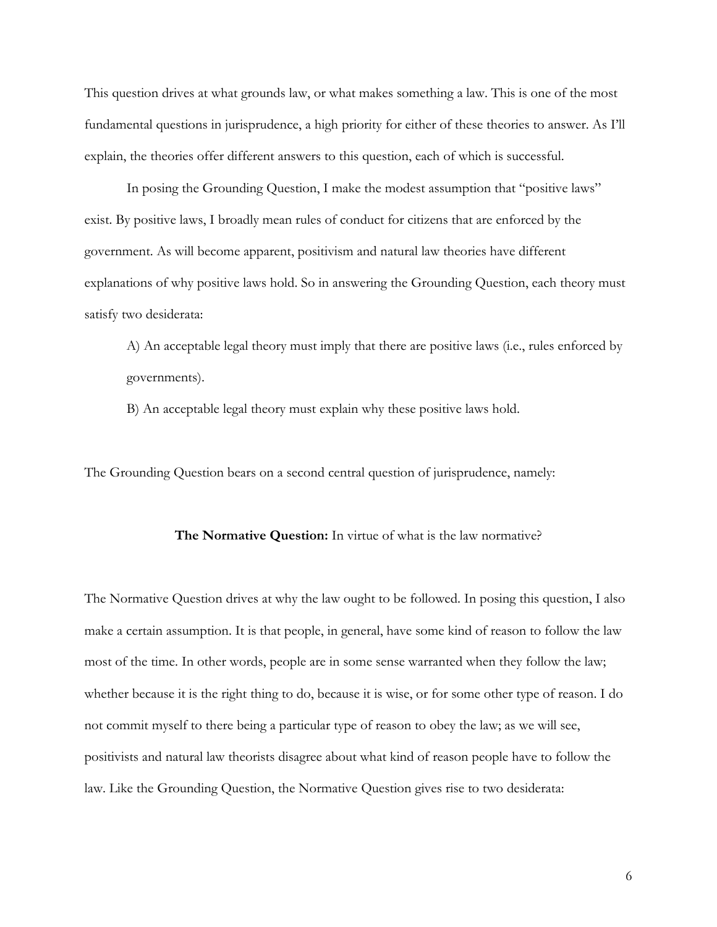This question drives at what grounds law, or what makes something a law. This is one of the most fundamental questions in jurisprudence, a high priority for either of these theories to answer. As I'll explain, the theories offer different answers to this question, each of which is successful.

In posing the Grounding Question, I make the modest assumption that "positive laws" exist. By positive laws, I broadly mean rules of conduct for citizens that are enforced by the government. As will become apparent, positivism and natural law theories have different explanations of why positive laws hold. So in answering the Grounding Question, each theory must satisfy two desiderata:

A) An acceptable legal theory must imply that there are positive laws (i.e., rules enforced by governments).

B) An acceptable legal theory must explain why these positive laws hold.

The Grounding Question bears on a second central question of jurisprudence, namely:

#### **The Normative Question:** In virtue of what is the law normative?

The Normative Question drives at why the law ought to be followed. In posing this question, I also make a certain assumption. It is that people, in general, have some kind of reason to follow the law most of the time. In other words, people are in some sense warranted when they follow the law; whether because it is the right thing to do, because it is wise, or for some other type of reason. I do not commit myself to there being a particular type of reason to obey the law; as we will see, positivists and natural law theorists disagree about what kind of reason people have to follow the law. Like the Grounding Question, the Normative Question gives rise to two desiderata: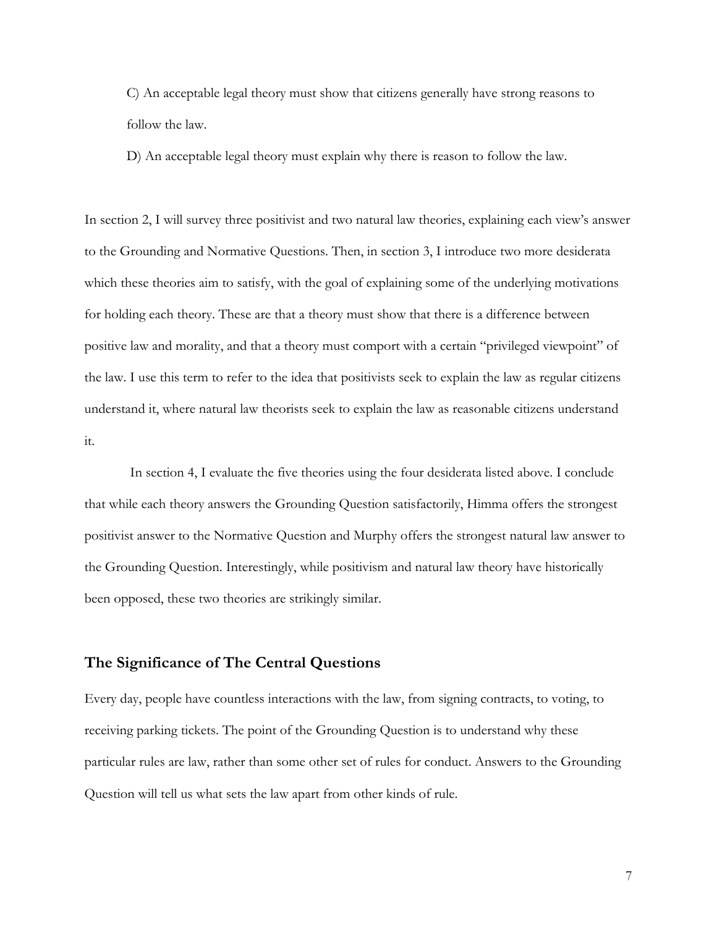C) An acceptable legal theory must show that citizens generally have strong reasons to follow the law.

D) An acceptable legal theory must explain why there is reason to follow the law.

In section 2, I will survey three positivist and two natural law theories, explaining each view's answer to the Grounding and Normative Questions. Then, in section 3, I introduce two more desiderata which these theories aim to satisfy, with the goal of explaining some of the underlying motivations for holding each theory. These are that a theory must show that there is a difference between positive law and morality, and that a theory must comport with a certain "privileged viewpoint" of the law. I use this term to refer to the idea that positivists seek to explain the law as regular citizens understand it, where natural law theorists seek to explain the law as reasonable citizens understand it.

In section 4, I evaluate the five theories using the four desiderata listed above. I conclude that while each theory answers the Grounding Question satisfactorily, Himma offers the strongest positivist answer to the Normative Question and Murphy offers the strongest natural law answer to the Grounding Question. Interestingly, while positivism and natural law theory have historically been opposed, these two theories are strikingly similar.

## **The Significance of The Central Questions**

Every day, people have countless interactions with the law, from signing contracts, to voting, to receiving parking tickets. The point of the Grounding Question is to understand why these particular rules are law, rather than some other set of rules for conduct. Answers to the Grounding Question will tell us what sets the law apart from other kinds of rule.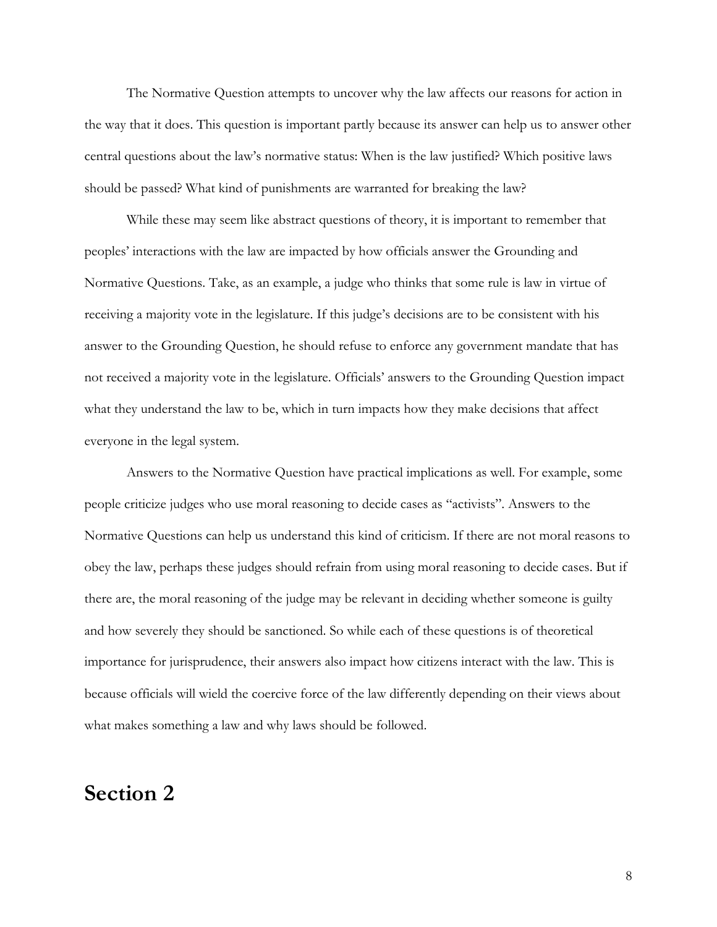The Normative Question attempts to uncover why the law affects our reasons for action in the way that it does. This question is important partly because its answer can help us to answer other central questions about the law's normative status: When is the law justified? Which positive laws should be passed? What kind of punishments are warranted for breaking the law?

While these may seem like abstract questions of theory, it is important to remember that peoples' interactions with the law are impacted by how officials answer the Grounding and Normative Questions. Take, as an example, a judge who thinks that some rule is law in virtue of receiving a majority vote in the legislature. If this judge's decisions are to be consistent with his answer to the Grounding Question, he should refuse to enforce any government mandate that has not received a majority vote in the legislature. Officials' answers to the Grounding Question impact what they understand the law to be, which in turn impacts how they make decisions that affect everyone in the legal system.

Answers to the Normative Question have practical implications as well. For example, some people criticize judges who use moral reasoning to decide cases as "activists". Answers to the Normative Questions can help us understand this kind of criticism. If there are not moral reasons to obey the law, perhaps these judges should refrain from using moral reasoning to decide cases. But if there are, the moral reasoning of the judge may be relevant in deciding whether someone is guilty and how severely they should be sanctioned. So while each of these questions is of theoretical importance for jurisprudence, their answers also impact how citizens interact with the law. This is because officials will wield the coercive force of the law differently depending on their views about what makes something a law and why laws should be followed.

## **Section 2**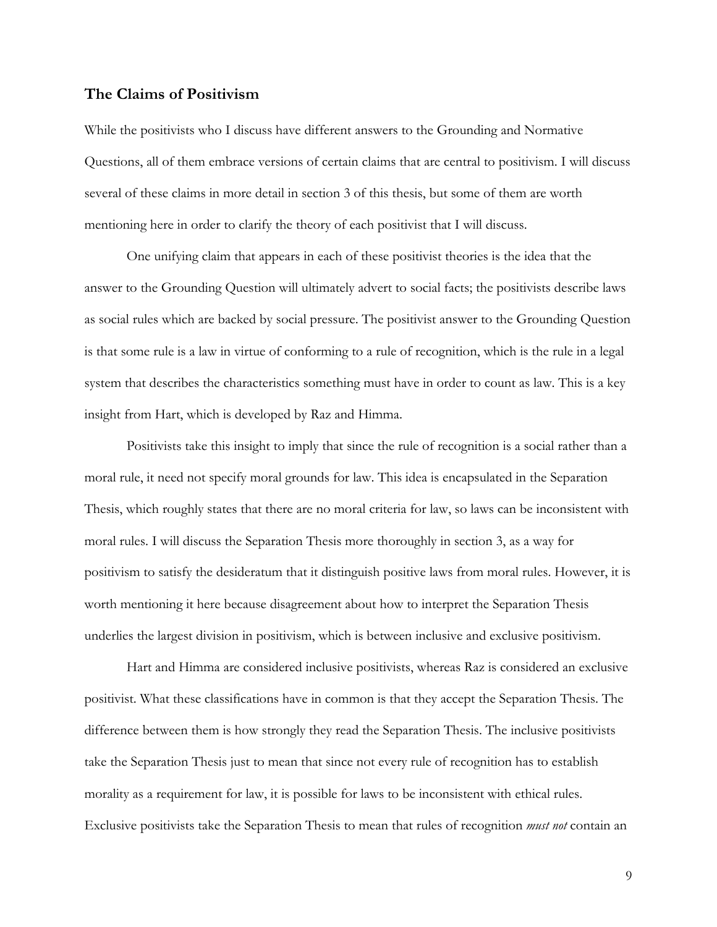### **The Claims of Positivism**

While the positivists who I discuss have different answers to the Grounding and Normative Questions, all of them embrace versions of certain claims that are central to positivism. I will discuss several of these claims in more detail in section 3 of this thesis, but some of them are worth mentioning here in order to clarify the theory of each positivist that I will discuss.

One unifying claim that appears in each of these positivist theories is the idea that the answer to the Grounding Question will ultimately advert to social facts; the positivists describe laws as social rules which are backed by social pressure. The positivist answer to the Grounding Question is that some rule is a law in virtue of conforming to a rule of recognition, which is the rule in a legal system that describes the characteristics something must have in order to count as law. This is a key insight from Hart, which is developed by Raz and Himma.

Positivists take this insight to imply that since the rule of recognition is a social rather than a moral rule, it need not specify moral grounds for law. This idea is encapsulated in the Separation Thesis, which roughly states that there are no moral criteria for law, so laws can be inconsistent with moral rules. I will discuss the Separation Thesis more thoroughly in section 3, as a way for positivism to satisfy the desideratum that it distinguish positive laws from moral rules. However, it is worth mentioning it here because disagreement about how to interpret the Separation Thesis underlies the largest division in positivism, which is between inclusive and exclusive positivism.

Hart and Himma are considered inclusive positivists, whereas Raz is considered an exclusive positivist. What these classifications have in common is that they accept the Separation Thesis. The difference between them is how strongly they read the Separation Thesis. The inclusive positivists take the Separation Thesis just to mean that since not every rule of recognition has to establish morality as a requirement for law, it is possible for laws to be inconsistent with ethical rules. Exclusive positivists take the Separation Thesis to mean that rules of recognition *must not* contain an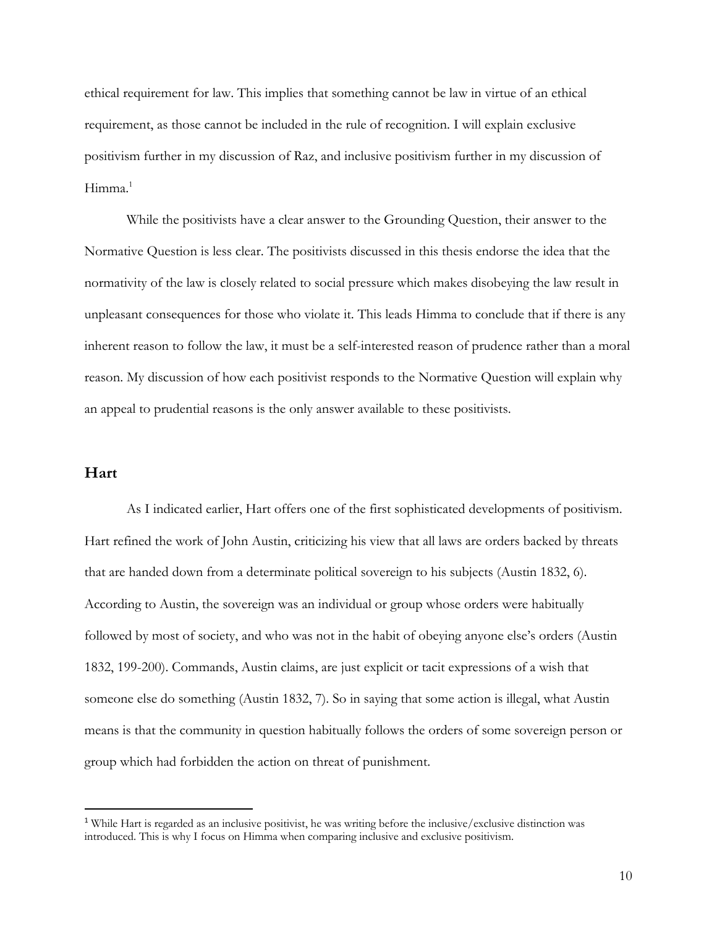ethical requirement for law. This implies that something cannot be law in virtue of an ethical requirement, as those cannot be included in the rule of recognition. I will explain exclusive positivism further in my discussion of Raz, and inclusive positivism further in my discussion of Himma.<sup>1</sup>

While the positivists have a clear answer to the Grounding Question, their answer to the Normative Question is less clear. The positivists discussed in this thesis endorse the idea that the normativity of the law is closely related to social pressure which makes disobeying the law result in unpleasant consequences for those who violate it. This leads Himma to conclude that if there is any inherent reason to follow the law, it must be a self-interested reason of prudence rather than a moral reason. My discussion of how each positivist responds to the Normative Question will explain why an appeal to prudential reasons is the only answer available to these positivists.

## **Hart**

As I indicated earlier, Hart offers one of the first sophisticated developments of positivism. Hart refined the work of John Austin, criticizing his view that all laws are orders backed by threats that are handed down from a determinate political sovereign to his subjects (Austin 1832, 6). According to Austin, the sovereign was an individual or group whose orders were habitually followed by most of society, and who was not in the habit of obeying anyone else's orders (Austin 1832, 199-200). Commands, Austin claims, are just explicit or tacit expressions of a wish that someone else do something (Austin 1832, 7). So in saying that some action is illegal, what Austin means is that the community in question habitually follows the orders of some sovereign person or group which had forbidden the action on threat of punishment.

<sup>1</sup> While Hart is regarded as an inclusive positivist, he was writing before the inclusive/exclusive distinction was introduced. This is why I focus on Himma when comparing inclusive and exclusive positivism.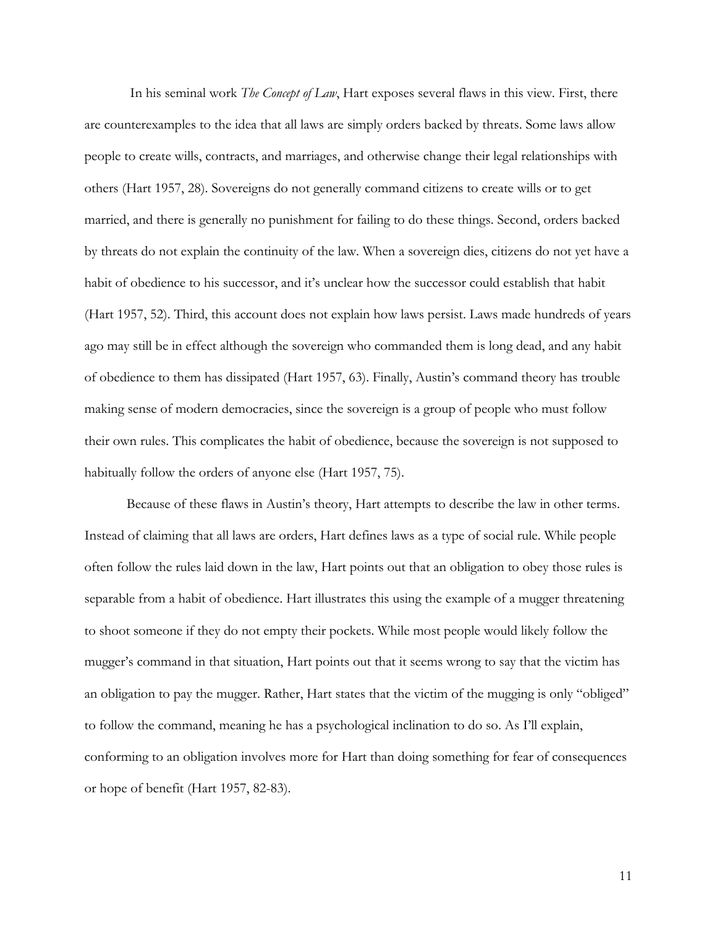In his seminal work *The Concept of Law*, Hart exposes several flaws in this view. First, there are counterexamples to the idea that all laws are simply orders backed by threats. Some laws allow people to create wills, contracts, and marriages, and otherwise change their legal relationships with others (Hart 1957, 28). Sovereigns do not generally command citizens to create wills or to get married, and there is generally no punishment for failing to do these things. Second, orders backed by threats do not explain the continuity of the law. When a sovereign dies, citizens do not yet have a habit of obedience to his successor, and it's unclear how the successor could establish that habit (Hart 1957, 52). Third, this account does not explain how laws persist. Laws made hundreds of years ago may still be in effect although the sovereign who commanded them is long dead, and any habit of obedience to them has dissipated (Hart 1957, 63). Finally, Austin's command theory has trouble making sense of modern democracies, since the sovereign is a group of people who must follow their own rules. This complicates the habit of obedience, because the sovereign is not supposed to habitually follow the orders of anyone else (Hart 1957, 75).

Because of these flaws in Austin's theory, Hart attempts to describe the law in other terms. Instead of claiming that all laws are orders, Hart defines laws as a type of social rule. While people often follow the rules laid down in the law, Hart points out that an obligation to obey those rules is separable from a habit of obedience. Hart illustrates this using the example of a mugger threatening to shoot someone if they do not empty their pockets. While most people would likely follow the mugger's command in that situation, Hart points out that it seems wrong to say that the victim has an obligation to pay the mugger. Rather, Hart states that the victim of the mugging is only "obliged" to follow the command, meaning he has a psychological inclination to do so. As I'll explain, conforming to an obligation involves more for Hart than doing something for fear of consequences or hope of benefit (Hart 1957, 82-83).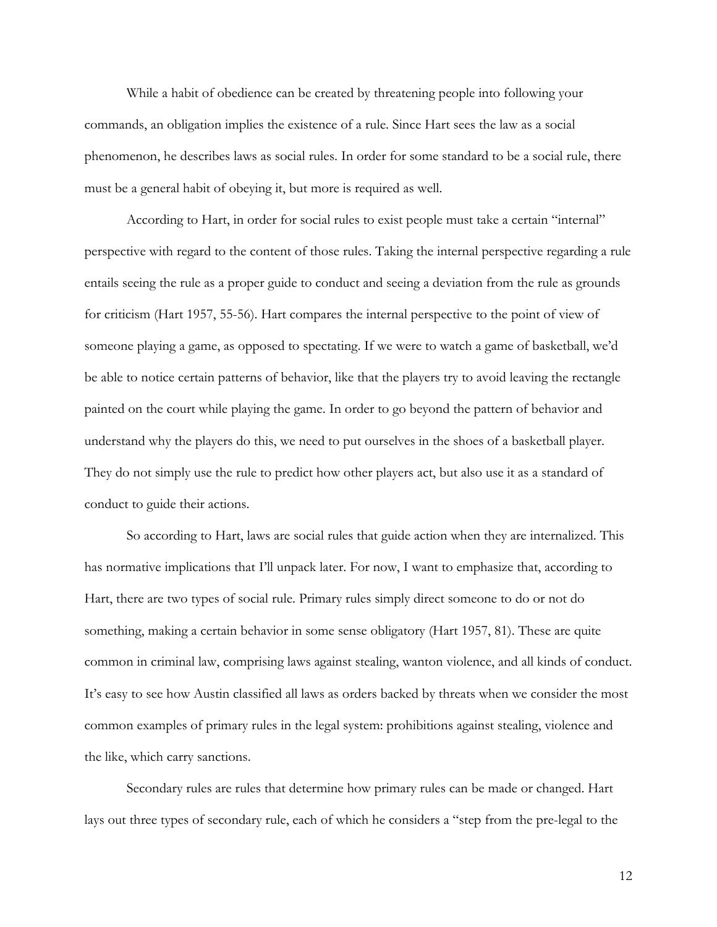While a habit of obedience can be created by threatening people into following your commands, an obligation implies the existence of a rule. Since Hart sees the law as a social phenomenon, he describes laws as social rules. In order for some standard to be a social rule, there must be a general habit of obeying it, but more is required as well.

According to Hart, in order for social rules to exist people must take a certain "internal" perspective with regard to the content of those rules. Taking the internal perspective regarding a rule entails seeing the rule as a proper guide to conduct and seeing a deviation from the rule as grounds for criticism (Hart 1957, 55-56). Hart compares the internal perspective to the point of view of someone playing a game, as opposed to spectating. If we were to watch a game of basketball, we'd be able to notice certain patterns of behavior, like that the players try to avoid leaving the rectangle painted on the court while playing the game. In order to go beyond the pattern of behavior and understand why the players do this, we need to put ourselves in the shoes of a basketball player. They do not simply use the rule to predict how other players act, but also use it as a standard of conduct to guide their actions.

So according to Hart, laws are social rules that guide action when they are internalized. This has normative implications that I'll unpack later. For now, I want to emphasize that, according to Hart, there are two types of social rule. Primary rules simply direct someone to do or not do something, making a certain behavior in some sense obligatory (Hart 1957, 81). These are quite common in criminal law, comprising laws against stealing, wanton violence, and all kinds of conduct. It's easy to see how Austin classified all laws as orders backed by threats when we consider the most common examples of primary rules in the legal system: prohibitions against stealing, violence and the like, which carry sanctions.

Secondary rules are rules that determine how primary rules can be made or changed. Hart lays out three types of secondary rule, each of which he considers a "step from the pre-legal to the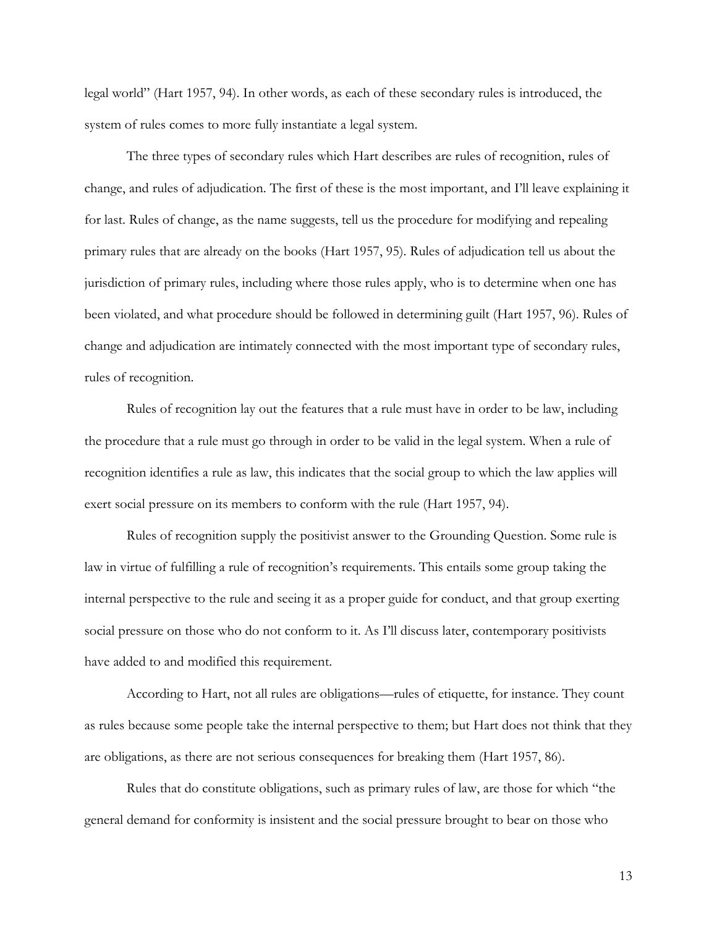legal world" (Hart 1957, 94). In other words, as each of these secondary rules is introduced, the system of rules comes to more fully instantiate a legal system.

The three types of secondary rules which Hart describes are rules of recognition, rules of change, and rules of adjudication. The first of these is the most important, and I'll leave explaining it for last. Rules of change, as the name suggests, tell us the procedure for modifying and repealing primary rules that are already on the books (Hart 1957, 95). Rules of adjudication tell us about the jurisdiction of primary rules, including where those rules apply, who is to determine when one has been violated, and what procedure should be followed in determining guilt (Hart 1957, 96). Rules of change and adjudication are intimately connected with the most important type of secondary rules, rules of recognition.

Rules of recognition lay out the features that a rule must have in order to be law, including the procedure that a rule must go through in order to be valid in the legal system. When a rule of recognition identifies a rule as law, this indicates that the social group to which the law applies will exert social pressure on its members to conform with the rule (Hart 1957, 94).

Rules of recognition supply the positivist answer to the Grounding Question. Some rule is law in virtue of fulfilling a rule of recognition's requirements. This entails some group taking the internal perspective to the rule and seeing it as a proper guide for conduct, and that group exerting social pressure on those who do not conform to it. As I'll discuss later, contemporary positivists have added to and modified this requirement.

According to Hart, not all rules are obligations—rules of etiquette, for instance. They count as rules because some people take the internal perspective to them; but Hart does not think that they are obligations, as there are not serious consequences for breaking them (Hart 1957, 86).

Rules that do constitute obligations, such as primary rules of law, are those for which "the general demand for conformity is insistent and the social pressure brought to bear on those who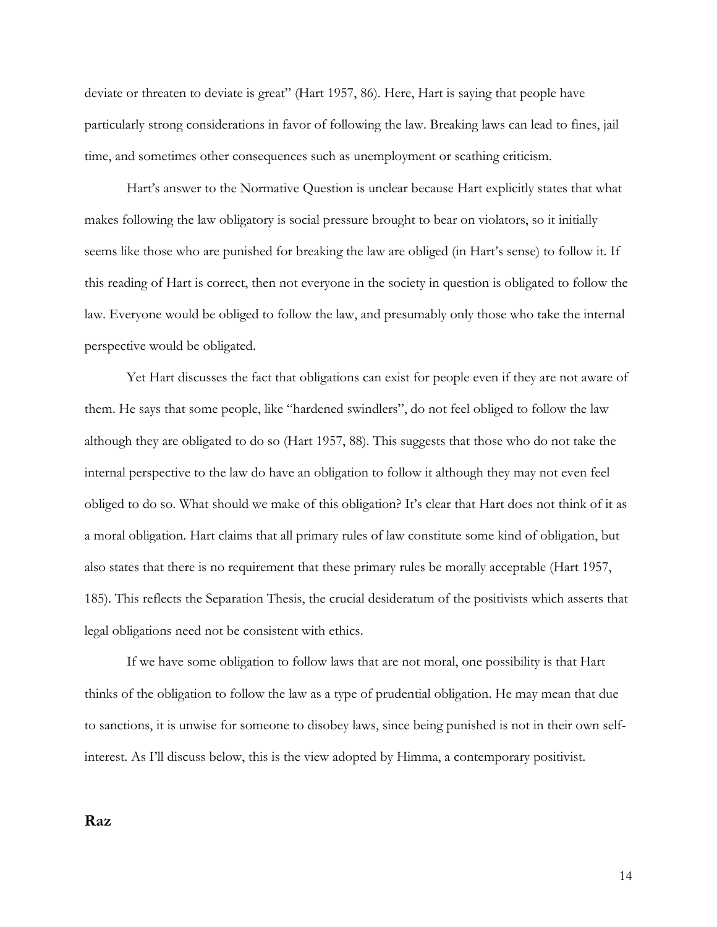deviate or threaten to deviate is great" (Hart 1957, 86). Here, Hart is saying that people have particularly strong considerations in favor of following the law. Breaking laws can lead to fines, jail time, and sometimes other consequences such as unemployment or scathing criticism.

Hart's answer to the Normative Question is unclear because Hart explicitly states that what makes following the law obligatory is social pressure brought to bear on violators, so it initially seems like those who are punished for breaking the law are obliged (in Hart's sense) to follow it. If this reading of Hart is correct, then not everyone in the society in question is obligated to follow the law. Everyone would be obliged to follow the law, and presumably only those who take the internal perspective would be obligated.

Yet Hart discusses the fact that obligations can exist for people even if they are not aware of them. He says that some people, like "hardened swindlers", do not feel obliged to follow the law although they are obligated to do so (Hart 1957, 88). This suggests that those who do not take the internal perspective to the law do have an obligation to follow it although they may not even feel obliged to do so. What should we make of this obligation? It's clear that Hart does not think of it as a moral obligation. Hart claims that all primary rules of law constitute some kind of obligation, but also states that there is no requirement that these primary rules be morally acceptable (Hart 1957, 185). This reflects the Separation Thesis, the crucial desideratum of the positivists which asserts that legal obligations need not be consistent with ethics.

If we have some obligation to follow laws that are not moral, one possibility is that Hart thinks of the obligation to follow the law as a type of prudential obligation. He may mean that due to sanctions, it is unwise for someone to disobey laws, since being punished is not in their own selfinterest. As I'll discuss below, this is the view adopted by Himma, a contemporary positivist.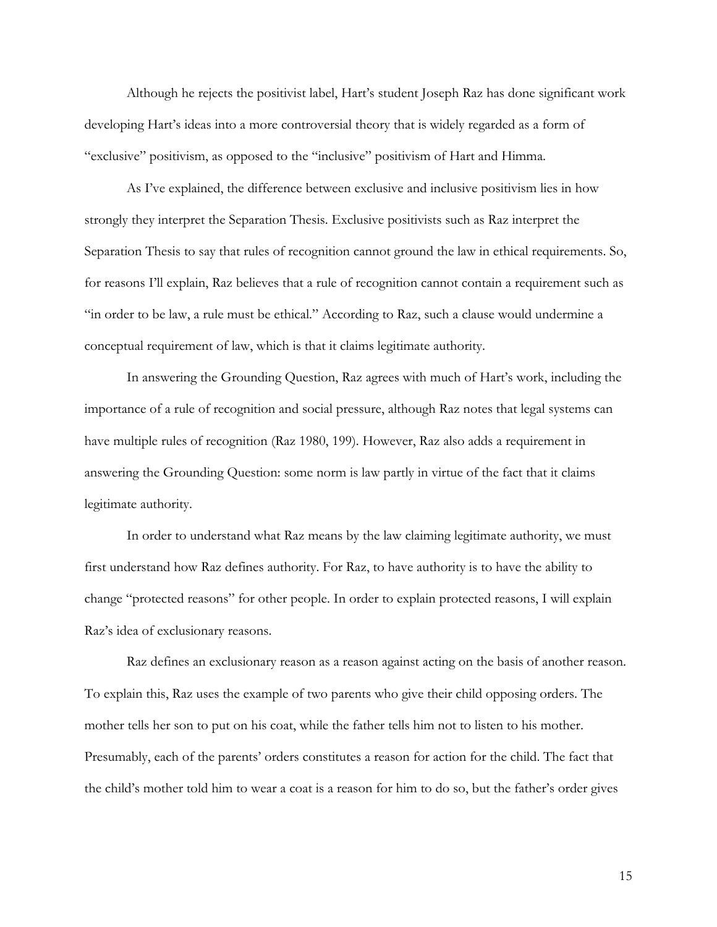Although he rejects the positivist label, Hart's student Joseph Raz has done significant work developing Hart's ideas into a more controversial theory that is widely regarded as a form of "exclusive" positivism, as opposed to the "inclusive" positivism of Hart and Himma.

As I've explained, the difference between exclusive and inclusive positivism lies in how strongly they interpret the Separation Thesis. Exclusive positivists such as Raz interpret the Separation Thesis to say that rules of recognition cannot ground the law in ethical requirements. So, for reasons I'll explain, Raz believes that a rule of recognition cannot contain a requirement such as "in order to be law, a rule must be ethical." According to Raz, such a clause would undermine a conceptual requirement of law, which is that it claims legitimate authority.

In answering the Grounding Question, Raz agrees with much of Hart's work, including the importance of a rule of recognition and social pressure, although Raz notes that legal systems can have multiple rules of recognition (Raz 1980, 199). However, Raz also adds a requirement in answering the Grounding Question: some norm is law partly in virtue of the fact that it claims legitimate authority.

In order to understand what Raz means by the law claiming legitimate authority, we must first understand how Raz defines authority. For Raz, to have authority is to have the ability to change "protected reasons" for other people. In order to explain protected reasons, I will explain Raz's idea of exclusionary reasons.

Raz defines an exclusionary reason as a reason against acting on the basis of another reason. To explain this, Raz uses the example of two parents who give their child opposing orders. The mother tells her son to put on his coat, while the father tells him not to listen to his mother. Presumably, each of the parents' orders constitutes a reason for action for the child. The fact that the child's mother told him to wear a coat is a reason for him to do so, but the father's order gives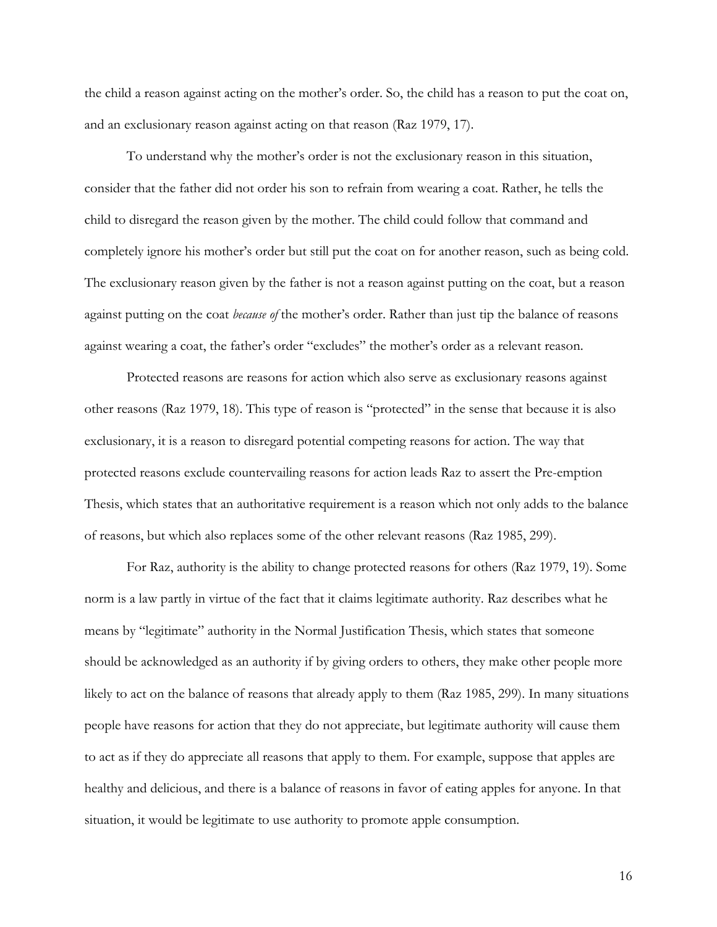the child a reason against acting on the mother's order. So, the child has a reason to put the coat on, and an exclusionary reason against acting on that reason (Raz 1979, 17).

To understand why the mother's order is not the exclusionary reason in this situation, consider that the father did not order his son to refrain from wearing a coat. Rather, he tells the child to disregard the reason given by the mother. The child could follow that command and completely ignore his mother's order but still put the coat on for another reason, such as being cold. The exclusionary reason given by the father is not a reason against putting on the coat, but a reason against putting on the coat *because of* the mother's order. Rather than just tip the balance of reasons against wearing a coat, the father's order "excludes" the mother's order as a relevant reason.

Protected reasons are reasons for action which also serve as exclusionary reasons against other reasons (Raz 1979, 18). This type of reason is "protected" in the sense that because it is also exclusionary, it is a reason to disregard potential competing reasons for action. The way that protected reasons exclude countervailing reasons for action leads Raz to assert the Pre-emption Thesis, which states that an authoritative requirement is a reason which not only adds to the balance of reasons, but which also replaces some of the other relevant reasons (Raz 1985, 299).

For Raz, authority is the ability to change protected reasons for others (Raz 1979, 19). Some norm is a law partly in virtue of the fact that it claims legitimate authority. Raz describes what he means by "legitimate" authority in the Normal Justification Thesis, which states that someone should be acknowledged as an authority if by giving orders to others, they make other people more likely to act on the balance of reasons that already apply to them (Raz 1985, 299). In many situations people have reasons for action that they do not appreciate, but legitimate authority will cause them to act as if they do appreciate all reasons that apply to them. For example, suppose that apples are healthy and delicious, and there is a balance of reasons in favor of eating apples for anyone. In that situation, it would be legitimate to use authority to promote apple consumption.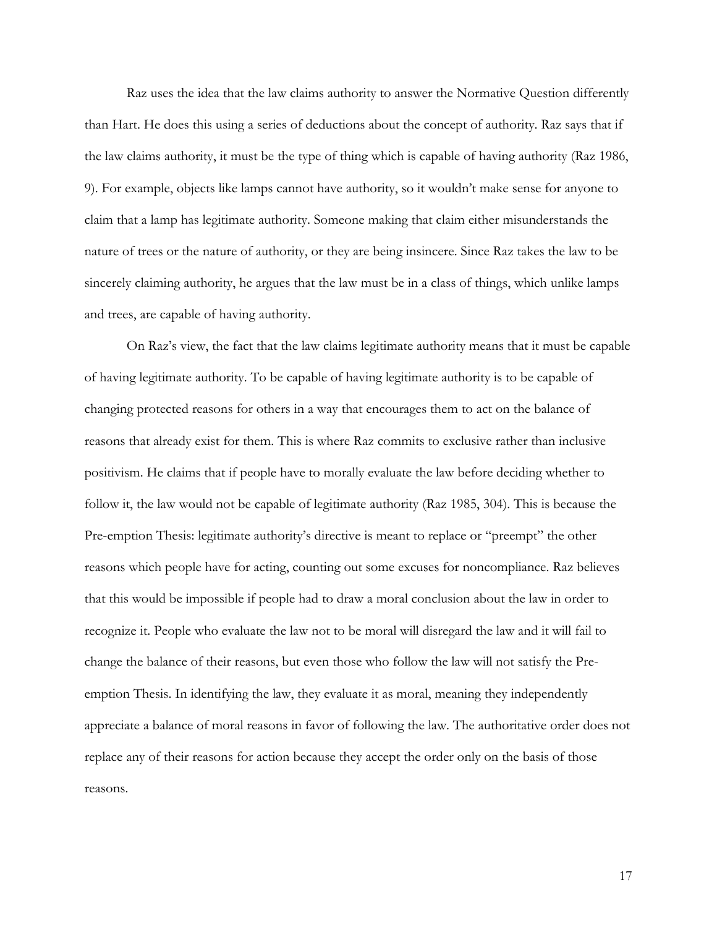Raz uses the idea that the law claims authority to answer the Normative Question differently than Hart. He does this using a series of deductions about the concept of authority. Raz says that if the law claims authority, it must be the type of thing which is capable of having authority (Raz 1986, 9). For example, objects like lamps cannot have authority, so it wouldn't make sense for anyone to claim that a lamp has legitimate authority. Someone making that claim either misunderstands the nature of trees or the nature of authority, or they are being insincere. Since Raz takes the law to be sincerely claiming authority, he argues that the law must be in a class of things, which unlike lamps and trees, are capable of having authority.

On Raz's view, the fact that the law claims legitimate authority means that it must be capable of having legitimate authority. To be capable of having legitimate authority is to be capable of changing protected reasons for others in a way that encourages them to act on the balance of reasons that already exist for them. This is where Raz commits to exclusive rather than inclusive positivism. He claims that if people have to morally evaluate the law before deciding whether to follow it, the law would not be capable of legitimate authority (Raz 1985, 304). This is because the Pre-emption Thesis: legitimate authority's directive is meant to replace or "preempt" the other reasons which people have for acting, counting out some excuses for noncompliance. Raz believes that this would be impossible if people had to draw a moral conclusion about the law in order to recognize it. People who evaluate the law not to be moral will disregard the law and it will fail to change the balance of their reasons, but even those who follow the law will not satisfy the Preemption Thesis. In identifying the law, they evaluate it as moral, meaning they independently appreciate a balance of moral reasons in favor of following the law. The authoritative order does not replace any of their reasons for action because they accept the order only on the basis of those reasons.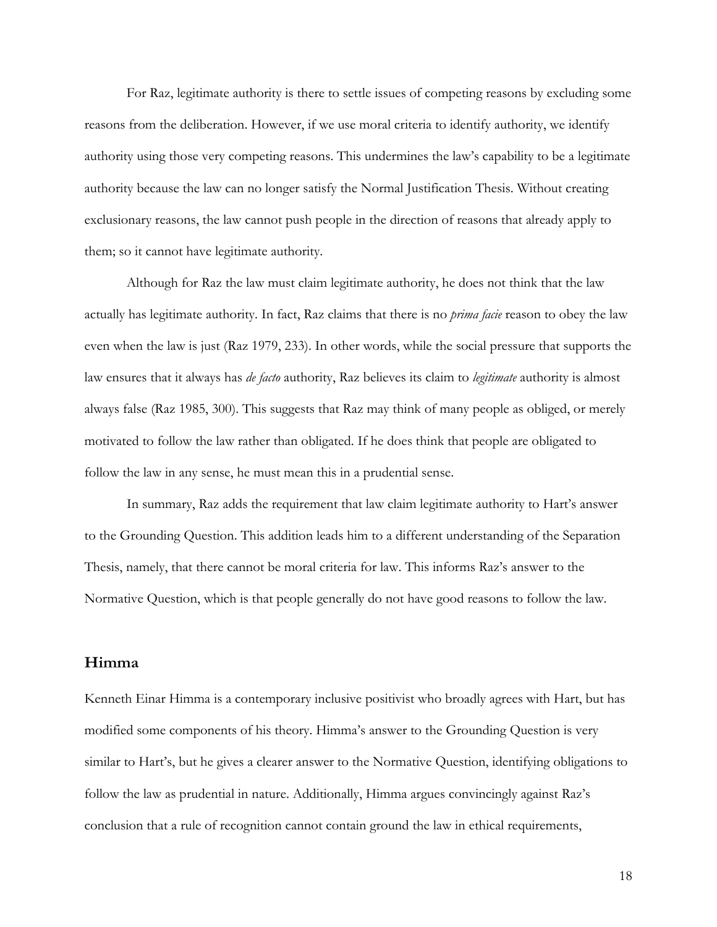For Raz, legitimate authority is there to settle issues of competing reasons by excluding some reasons from the deliberation. However, if we use moral criteria to identify authority, we identify authority using those very competing reasons. This undermines the law's capability to be a legitimate authority because the law can no longer satisfy the Normal Justification Thesis. Without creating exclusionary reasons, the law cannot push people in the direction of reasons that already apply to them; so it cannot have legitimate authority.

Although for Raz the law must claim legitimate authority, he does not think that the law actually has legitimate authority. In fact, Raz claims that there is no *prima facie* reason to obey the law even when the law is just (Raz 1979, 233). In other words, while the social pressure that supports the law ensures that it always has *de facto* authority, Raz believes its claim to *legitimate* authority is almost always false (Raz 1985, 300). This suggests that Raz may think of many people as obliged, or merely motivated to follow the law rather than obligated. If he does think that people are obligated to follow the law in any sense, he must mean this in a prudential sense.

In summary, Raz adds the requirement that law claim legitimate authority to Hart's answer to the Grounding Question. This addition leads him to a different understanding of the Separation Thesis, namely, that there cannot be moral criteria for law. This informs Raz's answer to the Normative Question, which is that people generally do not have good reasons to follow the law.

### **Himma**

Kenneth Einar Himma is a contemporary inclusive positivist who broadly agrees with Hart, but has modified some components of his theory. Himma's answer to the Grounding Question is very similar to Hart's, but he gives a clearer answer to the Normative Question, identifying obligations to follow the law as prudential in nature. Additionally, Himma argues convincingly against Raz's conclusion that a rule of recognition cannot contain ground the law in ethical requirements,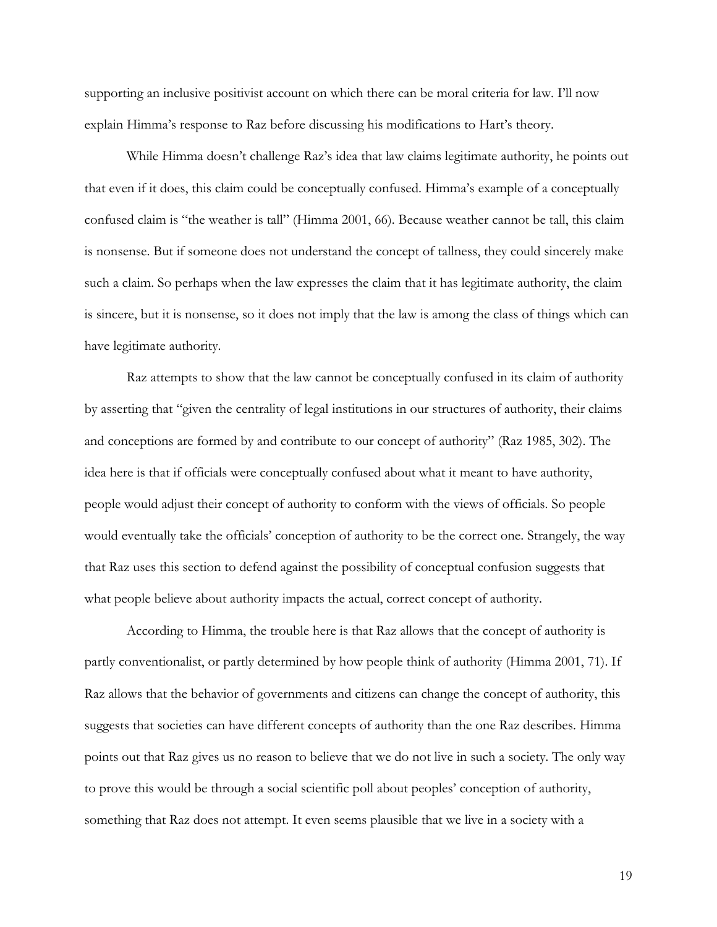supporting an inclusive positivist account on which there can be moral criteria for law. I'll now explain Himma's response to Raz before discussing his modifications to Hart's theory.

While Himma doesn't challenge Raz's idea that law claims legitimate authority, he points out that even if it does, this claim could be conceptually confused. Himma's example of a conceptually confused claim is "the weather is tall" (Himma 2001, 66). Because weather cannot be tall, this claim is nonsense. But if someone does not understand the concept of tallness, they could sincerely make such a claim. So perhaps when the law expresses the claim that it has legitimate authority, the claim is sincere, but it is nonsense, so it does not imply that the law is among the class of things which can have legitimate authority.

Raz attempts to show that the law cannot be conceptually confused in its claim of authority by asserting that "given the centrality of legal institutions in our structures of authority, their claims and conceptions are formed by and contribute to our concept of authority" (Raz 1985, 302). The idea here is that if officials were conceptually confused about what it meant to have authority, people would adjust their concept of authority to conform with the views of officials. So people would eventually take the officials' conception of authority to be the correct one. Strangely, the way that Raz uses this section to defend against the possibility of conceptual confusion suggests that what people believe about authority impacts the actual, correct concept of authority.

According to Himma, the trouble here is that Raz allows that the concept of authority is partly conventionalist, or partly determined by how people think of authority (Himma 2001, 71). If Raz allows that the behavior of governments and citizens can change the concept of authority, this suggests that societies can have different concepts of authority than the one Raz describes. Himma points out that Raz gives us no reason to believe that we do not live in such a society. The only way to prove this would be through a social scientific poll about peoples' conception of authority, something that Raz does not attempt. It even seems plausible that we live in a society with a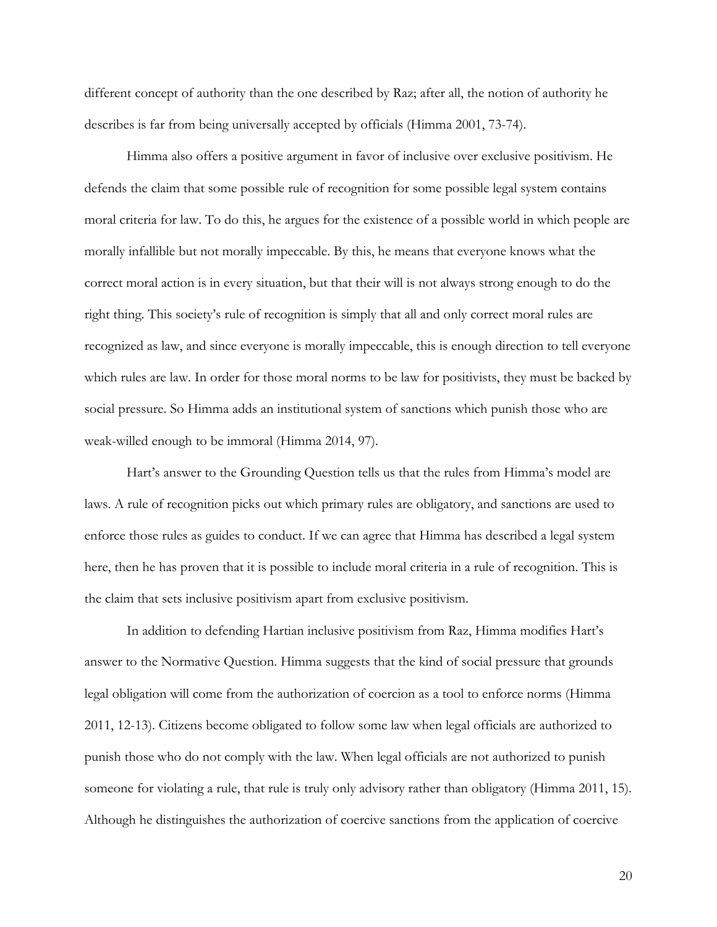different concept of authority than the one described by Raz; after all, the notion of authority he describes is far from being universally accepted by officials (Himma 2001, 73-74).

Himma also offers a positive argument in favor of inclusive over exclusive positivism. He defends the claim that some possible rule of recognition for some possible legal system contains moral criteria for law. To do this, he argues for the existence of a possible world in which people are morally infallible but not morally impeccable. By this, he means that everyone knows what the correct moral action is in every situation, but that their will is not always strong enough to do the right thing. This society's rule of recognition is simply that all and only correct moral rules are recognized as law, and since everyone is morally impeccable, this is enough direction to tell everyone which rules are law. In order for those moral norms to be law for positivists, they must be backed by social pressure. So Himma adds an institutional system of sanctions which punish those who are weak-willed enough to be immoral (Himma 2014, 97).

Hart's answer to the Grounding Question tells us that the rules from Himma's model are laws. A rule of recognition picks out which primary rules are obligatory, and sanctions are used to enforce those rules as guides to conduct. If we can agree that Himma has described a legal system here, then he has proven that it is possible to include moral criteria in a rule of recognition. This is the claim that sets inclusive positivism apart from exclusive positivism.

In addition to defending Hartian inclusive positivism from Raz, Himma modifies Hart's answer to the Normative Question. Himma suggests that the kind of social pressure that grounds legal obligation will come from the authorization of coercion as a tool to enforce norms (Himma 2011, 12-13). Citizens become obligated to follow some law when legal officials are authorized to punish those who do not comply with the law. When legal officials are not authorized to punish someone for violating a rule, that rule is truly only advisory rather than obligatory (Himma 2011, 15). Although he distinguishes the authorization of coercive sanctions from the application of coercive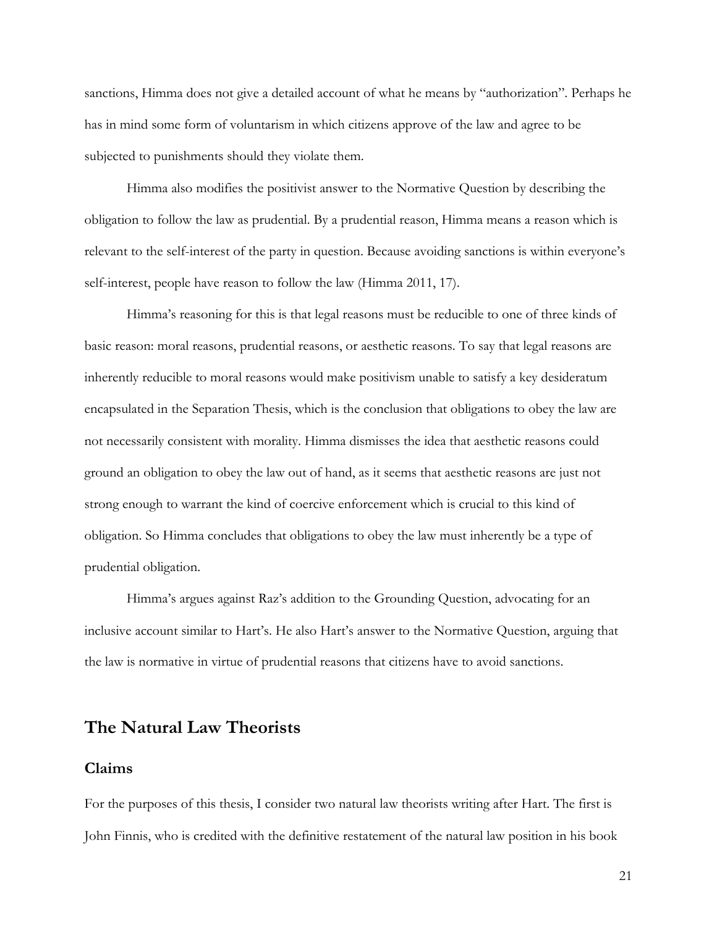sanctions, Himma does not give a detailed account of what he means by "authorization". Perhaps he has in mind some form of voluntarism in which citizens approve of the law and agree to be subjected to punishments should they violate them.

Himma also modifies the positivist answer to the Normative Question by describing the obligation to follow the law as prudential. By a prudential reason, Himma means a reason which is relevant to the self-interest of the party in question. Because avoiding sanctions is within everyone's self-interest, people have reason to follow the law (Himma 2011, 17).

Himma's reasoning for this is that legal reasons must be reducible to one of three kinds of basic reason: moral reasons, prudential reasons, or aesthetic reasons. To say that legal reasons are inherently reducible to moral reasons would make positivism unable to satisfy a key desideratum encapsulated in the Separation Thesis, which is the conclusion that obligations to obey the law are not necessarily consistent with morality. Himma dismisses the idea that aesthetic reasons could ground an obligation to obey the law out of hand, as it seems that aesthetic reasons are just not strong enough to warrant the kind of coercive enforcement which is crucial to this kind of obligation. So Himma concludes that obligations to obey the law must inherently be a type of prudential obligation.

Himma's argues against Raz's addition to the Grounding Question, advocating for an inclusive account similar to Hart's. He also Hart's answer to the Normative Question, arguing that the law is normative in virtue of prudential reasons that citizens have to avoid sanctions.

## **The Natural Law Theorists**

## **Claims**

For the purposes of this thesis, I consider two natural law theorists writing after Hart. The first is John Finnis, who is credited with the definitive restatement of the natural law position in his book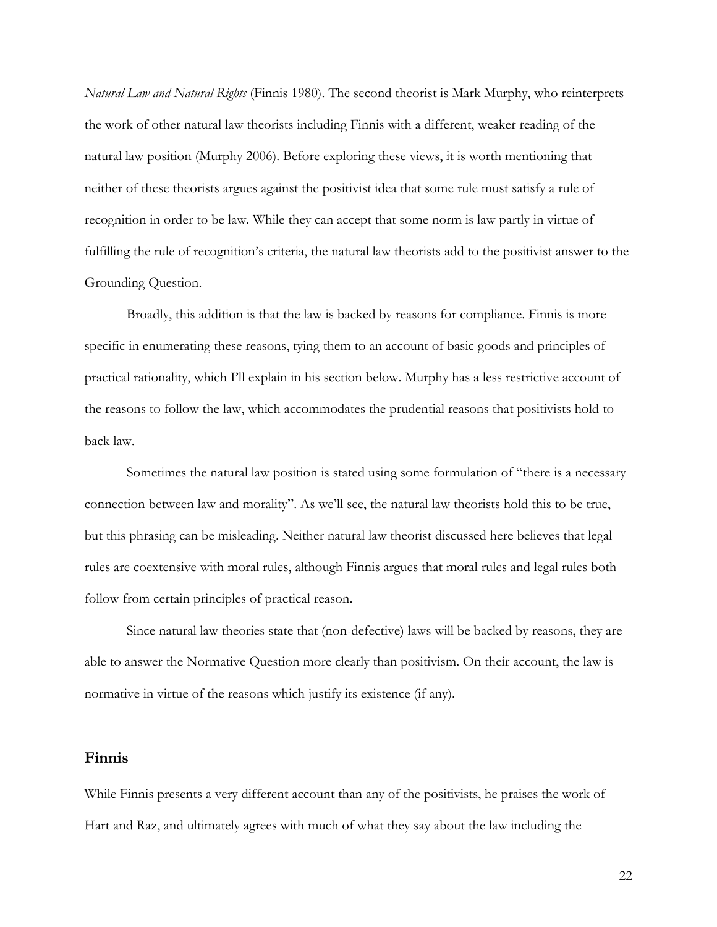*Natural Law and Natural Rights* (Finnis 1980). The second theorist is Mark Murphy, who reinterprets the work of other natural law theorists including Finnis with a different, weaker reading of the natural law position (Murphy 2006). Before exploring these views, it is worth mentioning that neither of these theorists argues against the positivist idea that some rule must satisfy a rule of recognition in order to be law. While they can accept that some norm is law partly in virtue of fulfilling the rule of recognition's criteria, the natural law theorists add to the positivist answer to the Grounding Question.

Broadly, this addition is that the law is backed by reasons for compliance. Finnis is more specific in enumerating these reasons, tying them to an account of basic goods and principles of practical rationality, which I'll explain in his section below. Murphy has a less restrictive account of the reasons to follow the law, which accommodates the prudential reasons that positivists hold to back law.

Sometimes the natural law position is stated using some formulation of "there is a necessary connection between law and morality". As we'll see, the natural law theorists hold this to be true, but this phrasing can be misleading. Neither natural law theorist discussed here believes that legal rules are coextensive with moral rules, although Finnis argues that moral rules and legal rules both follow from certain principles of practical reason.

Since natural law theories state that (non-defective) laws will be backed by reasons, they are able to answer the Normative Question more clearly than positivism. On their account, the law is normative in virtue of the reasons which justify its existence (if any).

#### **Finnis**

While Finnis presents a very different account than any of the positivists, he praises the work of Hart and Raz, and ultimately agrees with much of what they say about the law including the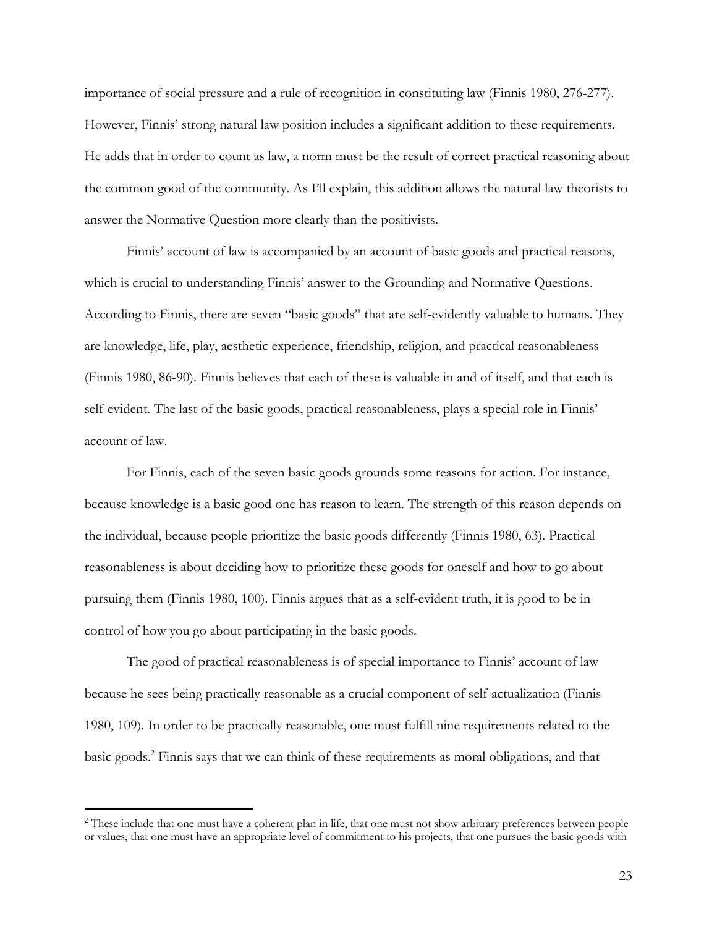importance of social pressure and a rule of recognition in constituting law (Finnis 1980, 276-277). However, Finnis' strong natural law position includes a significant addition to these requirements. He adds that in order to count as law, a norm must be the result of correct practical reasoning about the common good of the community. As I'll explain, this addition allows the natural law theorists to answer the Normative Question more clearly than the positivists.

Finnis' account of law is accompanied by an account of basic goods and practical reasons, which is crucial to understanding Finnis' answer to the Grounding and Normative Questions. According to Finnis, there are seven "basic goods" that are self-evidently valuable to humans. They are knowledge, life, play, aesthetic experience, friendship, religion, and practical reasonableness (Finnis 1980, 86-90). Finnis believes that each of these is valuable in and of itself, and that each is self-evident. The last of the basic goods, practical reasonableness, plays a special role in Finnis' account of law.

For Finnis, each of the seven basic goods grounds some reasons for action. For instance, because knowledge is a basic good one has reason to learn. The strength of this reason depends on the individual, because people prioritize the basic goods differently (Finnis 1980, 63). Practical reasonableness is about deciding how to prioritize these goods for oneself and how to go about pursuing them (Finnis 1980, 100). Finnis argues that as a self-evident truth, it is good to be in control of how you go about participating in the basic goods.

The good of practical reasonableness is of special importance to Finnis' account of law because he sees being practically reasonable as a crucial component of self-actualization (Finnis 1980, 109). In order to be practically reasonable, one must fulfill nine requirements related to the basic goods. <sup>2</sup> Finnis says that we can think of these requirements as moral obligations, and that

<sup>&</sup>lt;sup>2</sup> These include that one must have a coherent plan in life, that one must not show arbitrary preferences between people or values, that one must have an appropriate level of commitment to his projects, that one pursues the basic goods with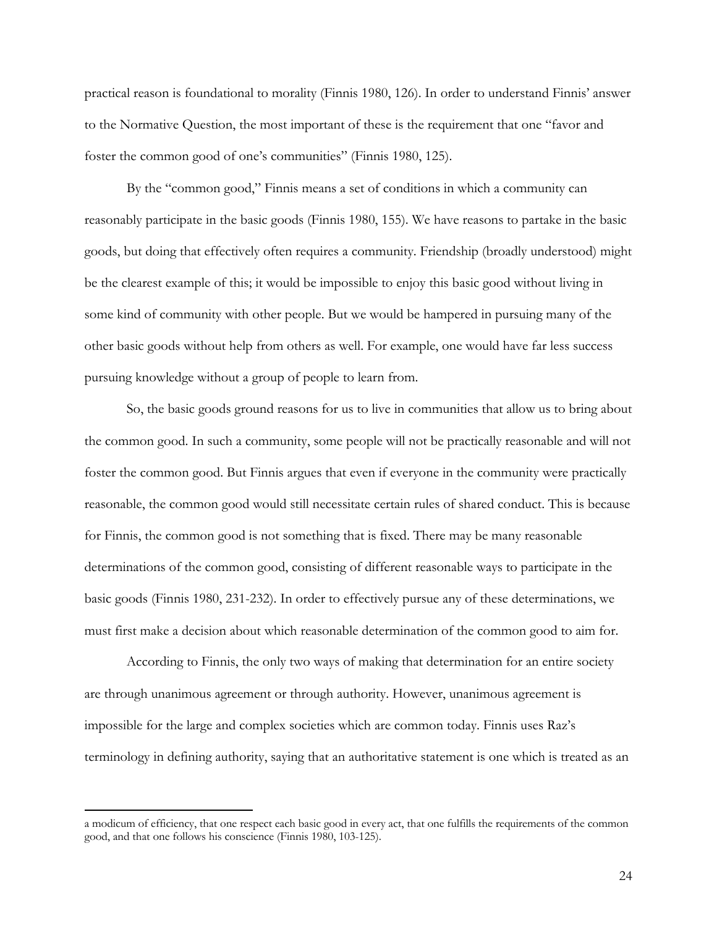practical reason is foundational to morality (Finnis 1980, 126). In order to understand Finnis' answer to the Normative Question, the most important of these is the requirement that one "favor and foster the common good of one's communities" (Finnis 1980, 125).

By the "common good," Finnis means a set of conditions in which a community can reasonably participate in the basic goods (Finnis 1980, 155). We have reasons to partake in the basic goods, but doing that effectively often requires a community. Friendship (broadly understood) might be the clearest example of this; it would be impossible to enjoy this basic good without living in some kind of community with other people. But we would be hampered in pursuing many of the other basic goods without help from others as well. For example, one would have far less success pursuing knowledge without a group of people to learn from.

So, the basic goods ground reasons for us to live in communities that allow us to bring about the common good. In such a community, some people will not be practically reasonable and will not foster the common good. But Finnis argues that even if everyone in the community were practically reasonable, the common good would still necessitate certain rules of shared conduct. This is because for Finnis, the common good is not something that is fixed. There may be many reasonable determinations of the common good, consisting of different reasonable ways to participate in the basic goods (Finnis 1980, 231-232). In order to effectively pursue any of these determinations, we must first make a decision about which reasonable determination of the common good to aim for.

According to Finnis, the only two ways of making that determination for an entire society are through unanimous agreement or through authority. However, unanimous agreement is impossible for the large and complex societies which are common today. Finnis uses Raz's terminology in defining authority, saying that an authoritative statement is one which is treated as an

a modicum of efficiency, that one respect each basic good in every act, that one fulfills the requirements of the common good, and that one follows his conscience (Finnis 1980, 103-125).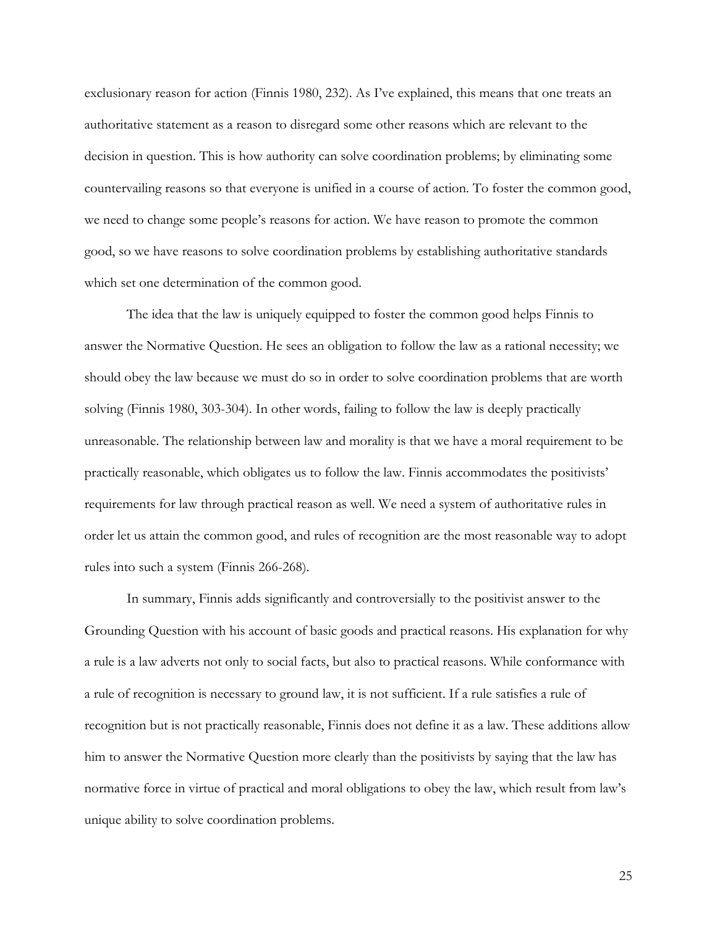exclusionary reason for action (Finnis 1980, 232). As I've explained, this means that one treats an authoritative statement as a reason to disregard some other reasons which are relevant to the decision in question. This is how authority can solve coordination problems; by eliminating some countervailing reasons so that everyone is unified in a course of action. To foster the common good, we need to change some people's reasons for action. We have reason to promote the common good, so we have reasons to solve coordination problems by establishing authoritative standards which set one determination of the common good.

The idea that the law is uniquely equipped to foster the common good helps Finnis to answer the Normative Question. He sees an obligation to follow the law as a rational necessity; we should obey the law because we must do so in order to solve coordination problems that are worth solving (Finnis 1980, 303-304). In other words, failing to follow the law is deeply practically unreasonable. The relationship between law and morality is that we have a moral requirement to be practically reasonable, which obligates us to follow the law. Finnis accommodates the positivists' requirements for law through practical reason as well. We need a system of authoritative rules in order let us attain the common good, and rules of recognition are the most reasonable way to adopt rules into such a system (Finnis 266-268).

In summary, Finnis adds significantly and controversially to the positivist answer to the Grounding Question with his account of basic goods and practical reasons. His explanation for why a rule is a law adverts not only to social facts, but also to practical reasons. While conformance with a rule of recognition is necessary to ground law, it is not sufficient. If a rule satisfies a rule of recognition but is not practically reasonable, Finnis does not define it as a law. These additions allow him to answer the Normative Question more clearly than the positivists by saying that the law has normative force in virtue of practical and moral obligations to obey the law, which result from law's unique ability to solve coordination problems.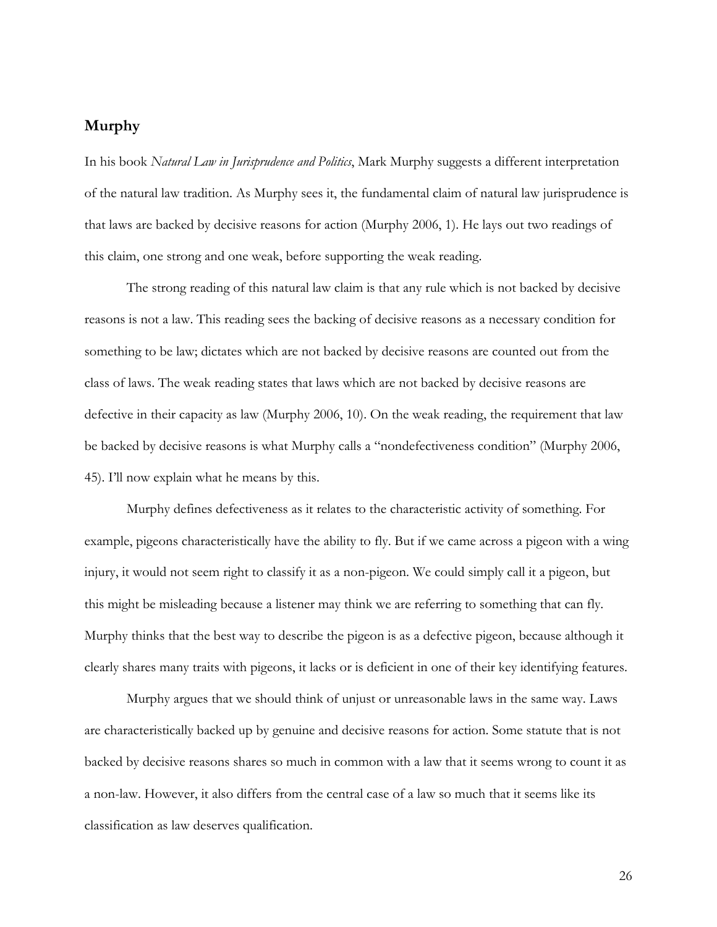## **Murphy**

In his book *Natural Law in Jurisprudence and Politics*, Mark Murphy suggests a different interpretation of the natural law tradition. As Murphy sees it, the fundamental claim of natural law jurisprudence is that laws are backed by decisive reasons for action (Murphy 2006, 1). He lays out two readings of this claim, one strong and one weak, before supporting the weak reading.

The strong reading of this natural law claim is that any rule which is not backed by decisive reasons is not a law. This reading sees the backing of decisive reasons as a necessary condition for something to be law; dictates which are not backed by decisive reasons are counted out from the class of laws. The weak reading states that laws which are not backed by decisive reasons are defective in their capacity as law (Murphy 2006, 10). On the weak reading, the requirement that law be backed by decisive reasons is what Murphy calls a "nondefectiveness condition" (Murphy 2006, 45). I'll now explain what he means by this.

Murphy defines defectiveness as it relates to the characteristic activity of something. For example, pigeons characteristically have the ability to fly. But if we came across a pigeon with a wing injury, it would not seem right to classify it as a non-pigeon. We could simply call it a pigeon, but this might be misleading because a listener may think we are referring to something that can fly. Murphy thinks that the best way to describe the pigeon is as a defective pigeon, because although it clearly shares many traits with pigeons, it lacks or is deficient in one of their key identifying features.

Murphy argues that we should think of unjust or unreasonable laws in the same way. Laws are characteristically backed up by genuine and decisive reasons for action. Some statute that is not backed by decisive reasons shares so much in common with a law that it seems wrong to count it as a non-law. However, it also differs from the central case of a law so much that it seems like its classification as law deserves qualification.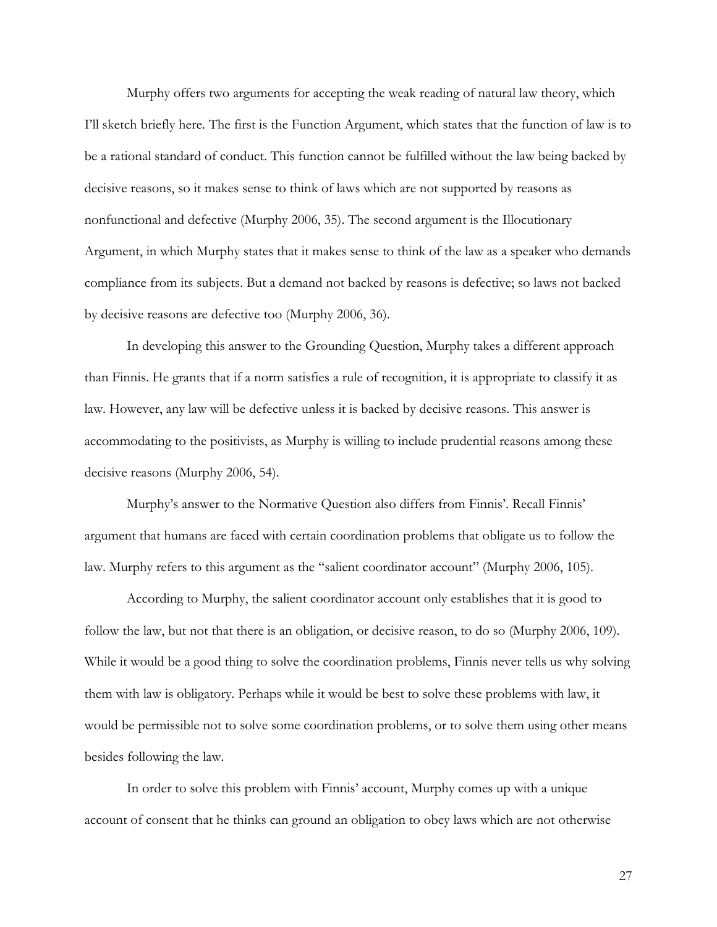Murphy offers two arguments for accepting the weak reading of natural law theory, which I'll sketch briefly here. The first is the Function Argument, which states that the function of law is to be a rational standard of conduct. This function cannot be fulfilled without the law being backed by decisive reasons, so it makes sense to think of laws which are not supported by reasons as nonfunctional and defective (Murphy 2006, 35). The second argument is the Illocutionary Argument, in which Murphy states that it makes sense to think of the law as a speaker who demands compliance from its subjects. But a demand not backed by reasons is defective; so laws not backed by decisive reasons are defective too (Murphy 2006, 36).

In developing this answer to the Grounding Question, Murphy takes a different approach than Finnis. He grants that if a norm satisfies a rule of recognition, it is appropriate to classify it as law. However, any law will be defective unless it is backed by decisive reasons. This answer is accommodating to the positivists, as Murphy is willing to include prudential reasons among these decisive reasons (Murphy 2006, 54).

Murphy's answer to the Normative Question also differs from Finnis'. Recall Finnis' argument that humans are faced with certain coordination problems that obligate us to follow the law. Murphy refers to this argument as the "salient coordinator account" (Murphy 2006, 105).

According to Murphy, the salient coordinator account only establishes that it is good to follow the law, but not that there is an obligation, or decisive reason, to do so (Murphy 2006, 109). While it would be a good thing to solve the coordination problems, Finnis never tells us why solving them with law is obligatory. Perhaps while it would be best to solve these problems with law, it would be permissible not to solve some coordination problems, or to solve them using other means besides following the law.

In order to solve this problem with Finnis' account, Murphy comes up with a unique account of consent that he thinks can ground an obligation to obey laws which are not otherwise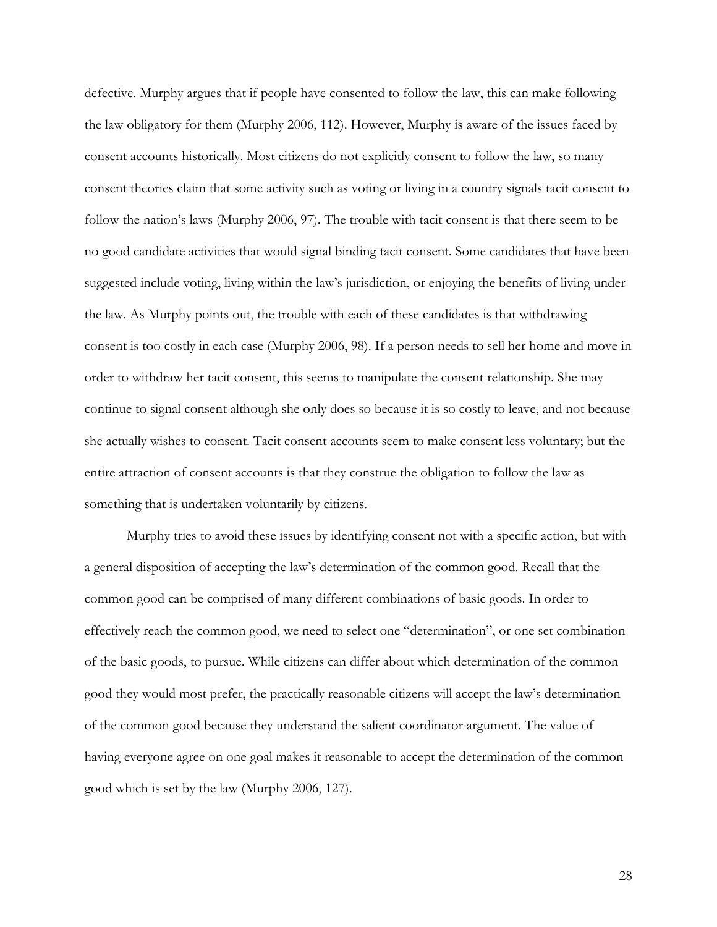defective. Murphy argues that if people have consented to follow the law, this can make following the law obligatory for them (Murphy 2006, 112). However, Murphy is aware of the issues faced by consent accounts historically. Most citizens do not explicitly consent to follow the law, so many consent theories claim that some activity such as voting or living in a country signals tacit consent to follow the nation's laws (Murphy 2006, 97). The trouble with tacit consent is that there seem to be no good candidate activities that would signal binding tacit consent. Some candidates that have been suggested include voting, living within the law's jurisdiction, or enjoying the benefits of living under the law. As Murphy points out, the trouble with each of these candidates is that withdrawing consent is too costly in each case (Murphy 2006, 98). If a person needs to sell her home and move in order to withdraw her tacit consent, this seems to manipulate the consent relationship. She may continue to signal consent although she only does so because it is so costly to leave, and not because she actually wishes to consent. Tacit consent accounts seem to make consent less voluntary; but the entire attraction of consent accounts is that they construe the obligation to follow the law as something that is undertaken voluntarily by citizens.

Murphy tries to avoid these issues by identifying consent not with a specific action, but with a general disposition of accepting the law's determination of the common good. Recall that the common good can be comprised of many different combinations of basic goods. In order to effectively reach the common good, we need to select one "determination", or one set combination of the basic goods, to pursue. While citizens can differ about which determination of the common good they would most prefer, the practically reasonable citizens will accept the law's determination of the common good because they understand the salient coordinator argument. The value of having everyone agree on one goal makes it reasonable to accept the determination of the common good which is set by the law (Murphy 2006, 127).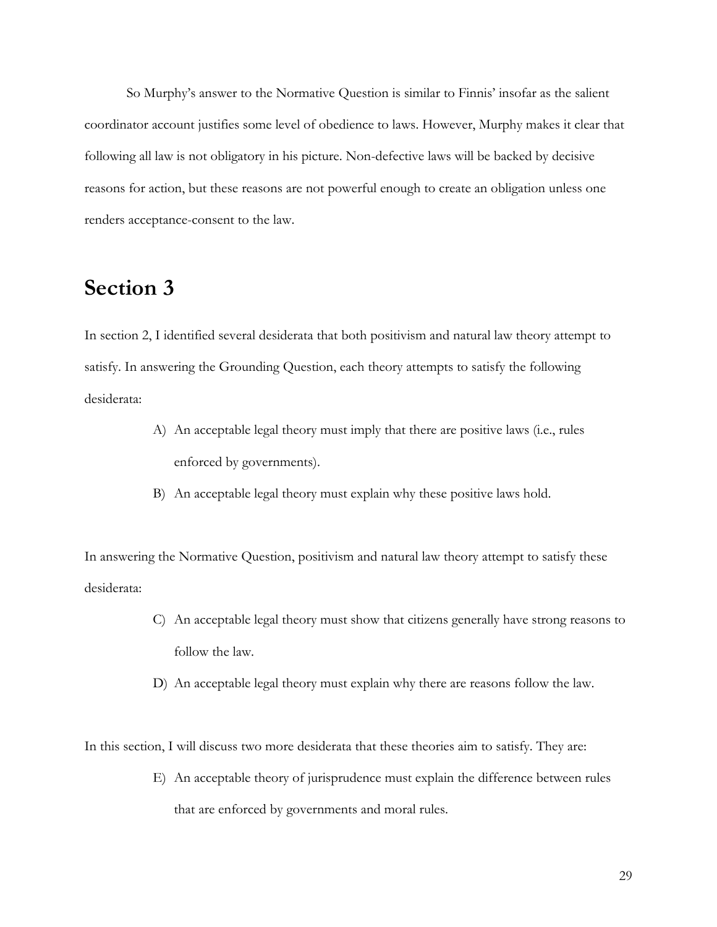So Murphy's answer to the Normative Question is similar to Finnis' insofar as the salient coordinator account justifies some level of obedience to laws. However, Murphy makes it clear that following all law is not obligatory in his picture. Non-defective laws will be backed by decisive reasons for action, but these reasons are not powerful enough to create an obligation unless one renders acceptance-consent to the law.

# **Section 3**

In section 2, I identified several desiderata that both positivism and natural law theory attempt to satisfy. In answering the Grounding Question, each theory attempts to satisfy the following desiderata:

- A) An acceptable legal theory must imply that there are positive laws (i.e., rules enforced by governments).
- B) An acceptable legal theory must explain why these positive laws hold.

In answering the Normative Question, positivism and natural law theory attempt to satisfy these desiderata:

- C) An acceptable legal theory must show that citizens generally have strong reasons to follow the law.
- D) An acceptable legal theory must explain why there are reasons follow the law.

In this section, I will discuss two more desiderata that these theories aim to satisfy. They are:

E) An acceptable theory of jurisprudence must explain the difference between rules that are enforced by governments and moral rules.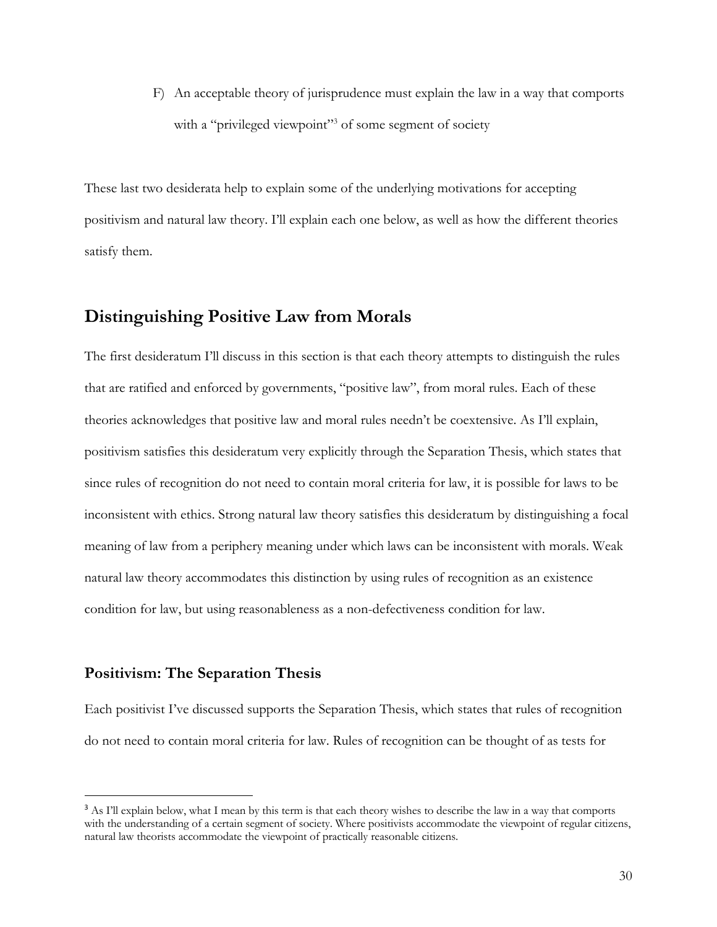F) An acceptable theory of jurisprudence must explain the law in a way that comports with a "privileged viewpoint"<sup>3</sup> of some segment of society

These last two desiderata help to explain some of the underlying motivations for accepting positivism and natural law theory. I'll explain each one below, as well as how the different theories satisfy them.

## **Distinguishing Positive Law from Morals**

The first desideratum I'll discuss in this section is that each theory attempts to distinguish the rules that are ratified and enforced by governments, "positive law", from moral rules. Each of these theories acknowledges that positive law and moral rules needn't be coextensive. As I'll explain, positivism satisfies this desideratum very explicitly through the Separation Thesis, which states that since rules of recognition do not need to contain moral criteria for law, it is possible for laws to be inconsistent with ethics. Strong natural law theory satisfies this desideratum by distinguishing a focal meaning of law from a periphery meaning under which laws can be inconsistent with morals. Weak natural law theory accommodates this distinction by using rules of recognition as an existence condition for law, but using reasonableness as a non-defectiveness condition for law.

### **Positivism: The Separation Thesis**

Each positivist I've discussed supports the Separation Thesis, which states that rules of recognition do not need to contain moral criteria for law. Rules of recognition can be thought of as tests for

<sup>&</sup>lt;sup>3</sup> As I'll explain below, what I mean by this term is that each theory wishes to describe the law in a way that comports with the understanding of a certain segment of society. Where positivists accommodate the viewpoint of regular citizens, natural law theorists accommodate the viewpoint of practically reasonable citizens.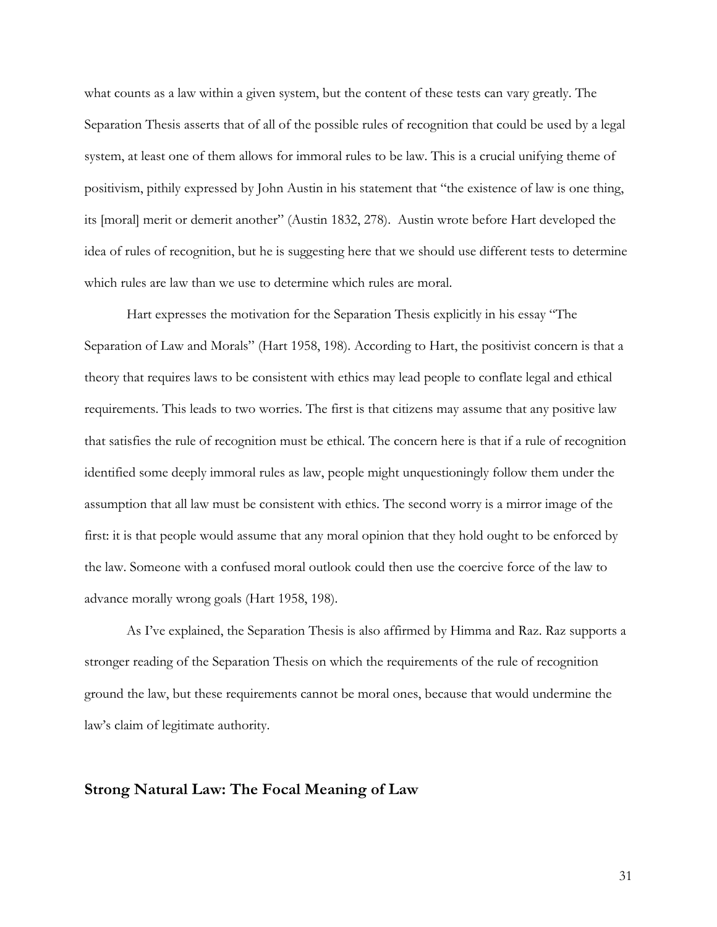what counts as a law within a given system, but the content of these tests can vary greatly. The Separation Thesis asserts that of all of the possible rules of recognition that could be used by a legal system, at least one of them allows for immoral rules to be law. This is a crucial unifying theme of positivism, pithily expressed by John Austin in his statement that "the existence of law is one thing, its [moral] merit or demerit another" (Austin 1832, 278). Austin wrote before Hart developed the idea of rules of recognition, but he is suggesting here that we should use different tests to determine which rules are law than we use to determine which rules are moral.

Hart expresses the motivation for the Separation Thesis explicitly in his essay "The Separation of Law and Morals" (Hart 1958, 198). According to Hart, the positivist concern is that a theory that requires laws to be consistent with ethics may lead people to conflate legal and ethical requirements. This leads to two worries. The first is that citizens may assume that any positive law that satisfies the rule of recognition must be ethical. The concern here is that if a rule of recognition identified some deeply immoral rules as law, people might unquestioningly follow them under the assumption that all law must be consistent with ethics. The second worry is a mirror image of the first: it is that people would assume that any moral opinion that they hold ought to be enforced by the law. Someone with a confused moral outlook could then use the coercive force of the law to advance morally wrong goals (Hart 1958, 198).

As I've explained, the Separation Thesis is also affirmed by Himma and Raz. Raz supports a stronger reading of the Separation Thesis on which the requirements of the rule of recognition ground the law, but these requirements cannot be moral ones, because that would undermine the law's claim of legitimate authority.

#### **Strong Natural Law: The Focal Meaning of Law**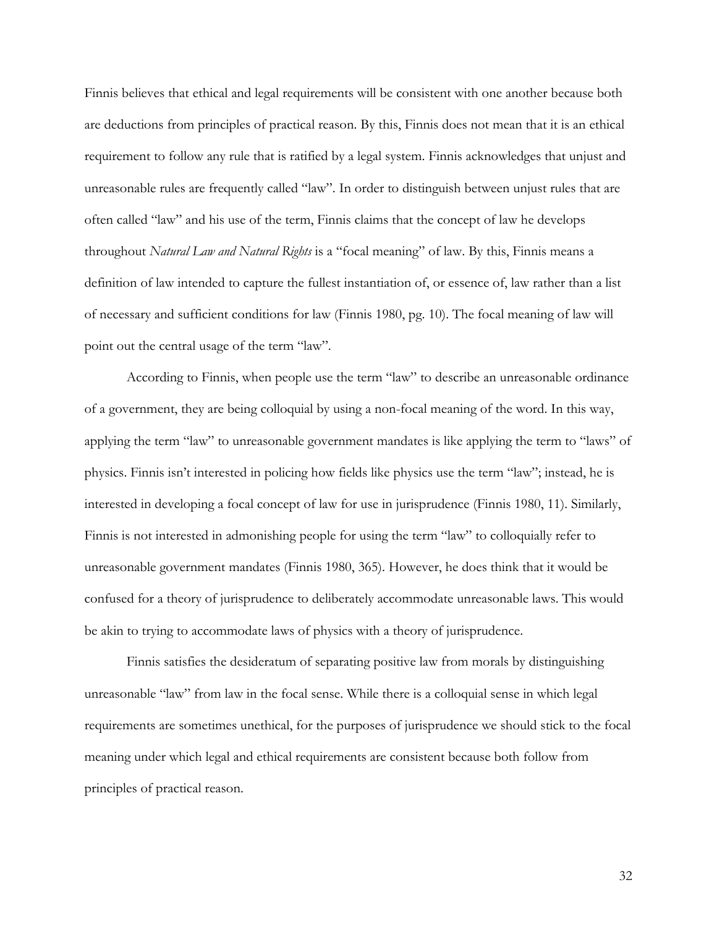Finnis believes that ethical and legal requirements will be consistent with one another because both are deductions from principles of practical reason. By this, Finnis does not mean that it is an ethical requirement to follow any rule that is ratified by a legal system. Finnis acknowledges that unjust and unreasonable rules are frequently called "law". In order to distinguish between unjust rules that are often called "law" and his use of the term, Finnis claims that the concept of law he develops throughout *Natural Law and Natural Rights* is a "focal meaning" of law. By this, Finnis means a definition of law intended to capture the fullest instantiation of, or essence of, law rather than a list of necessary and sufficient conditions for law (Finnis 1980, pg. 10). The focal meaning of law will point out the central usage of the term "law".

According to Finnis, when people use the term "law" to describe an unreasonable ordinance of a government, they are being colloquial by using a non-focal meaning of the word. In this way, applying the term "law" to unreasonable government mandates is like applying the term to "laws" of physics. Finnis isn't interested in policing how fields like physics use the term "law"; instead, he is interested in developing a focal concept of law for use in jurisprudence (Finnis 1980, 11). Similarly, Finnis is not interested in admonishing people for using the term "law" to colloquially refer to unreasonable government mandates (Finnis 1980, 365). However, he does think that it would be confused for a theory of jurisprudence to deliberately accommodate unreasonable laws. This would be akin to trying to accommodate laws of physics with a theory of jurisprudence.

Finnis satisfies the desideratum of separating positive law from morals by distinguishing unreasonable "law" from law in the focal sense. While there is a colloquial sense in which legal requirements are sometimes unethical, for the purposes of jurisprudence we should stick to the focal meaning under which legal and ethical requirements are consistent because both follow from principles of practical reason.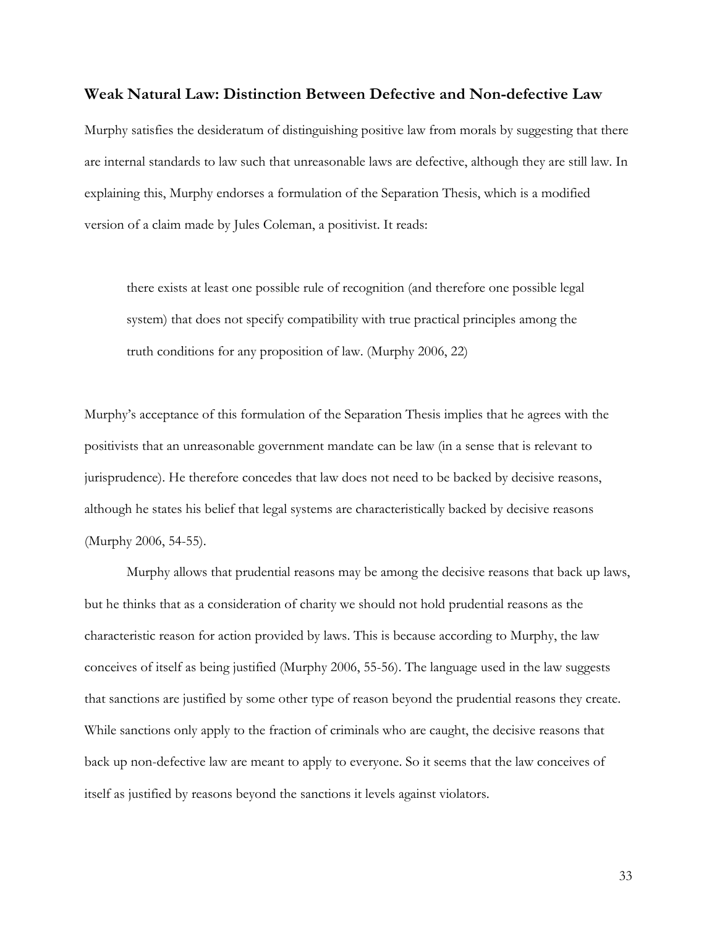#### **Weak Natural Law: Distinction Between Defective and Non-defective Law**

Murphy satisfies the desideratum of distinguishing positive law from morals by suggesting that there are internal standards to law such that unreasonable laws are defective, although they are still law. In explaining this, Murphy endorses a formulation of the Separation Thesis, which is a modified version of a claim made by Jules Coleman, a positivist. It reads:

there exists at least one possible rule of recognition (and therefore one possible legal system) that does not specify compatibility with true practical principles among the truth conditions for any proposition of law. (Murphy 2006, 22)

Murphy's acceptance of this formulation of the Separation Thesis implies that he agrees with the positivists that an unreasonable government mandate can be law (in a sense that is relevant to jurisprudence). He therefore concedes that law does not need to be backed by decisive reasons, although he states his belief that legal systems are characteristically backed by decisive reasons (Murphy 2006, 54-55).

Murphy allows that prudential reasons may be among the decisive reasons that back up laws, but he thinks that as a consideration of charity we should not hold prudential reasons as the characteristic reason for action provided by laws. This is because according to Murphy, the law conceives of itself as being justified (Murphy 2006, 55-56). The language used in the law suggests that sanctions are justified by some other type of reason beyond the prudential reasons they create. While sanctions only apply to the fraction of criminals who are caught, the decisive reasons that back up non-defective law are meant to apply to everyone. So it seems that the law conceives of itself as justified by reasons beyond the sanctions it levels against violators.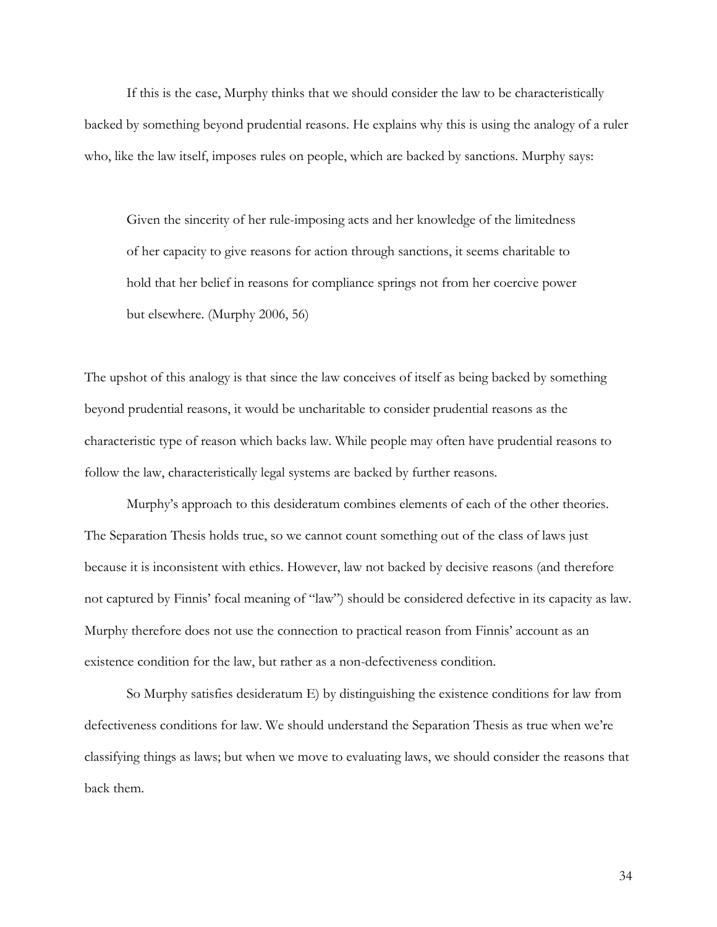If this is the case, Murphy thinks that we should consider the law to be characteristically backed by something beyond prudential reasons. He explains why this is using the analogy of a ruler who, like the law itself, imposes rules on people, which are backed by sanctions. Murphy says:

Given the sincerity of her rule-imposing acts and her knowledge of the limitedness of her capacity to give reasons for action through sanctions, it seems charitable to hold that her belief in reasons for compliance springs not from her coercive power but elsewhere. (Murphy 2006, 56)

The upshot of this analogy is that since the law conceives of itself as being backed by something beyond prudential reasons, it would be uncharitable to consider prudential reasons as the characteristic type of reason which backs law. While people may often have prudential reasons to follow the law, characteristically legal systems are backed by further reasons.

Murphy's approach to this desideratum combines elements of each of the other theories. The Separation Thesis holds true, so we cannot count something out of the class of laws just because it is inconsistent with ethics. However, law not backed by decisive reasons (and therefore not captured by Finnis' focal meaning of "law") should be considered defective in its capacity as law. Murphy therefore does not use the connection to practical reason from Finnis' account as an existence condition for the law, but rather as a non-defectiveness condition.

So Murphy satisfies desideratum E) by distinguishing the existence conditions for law from defectiveness conditions for law. We should understand the Separation Thesis as true when we're classifying things as laws; but when we move to evaluating laws, we should consider the reasons that back them.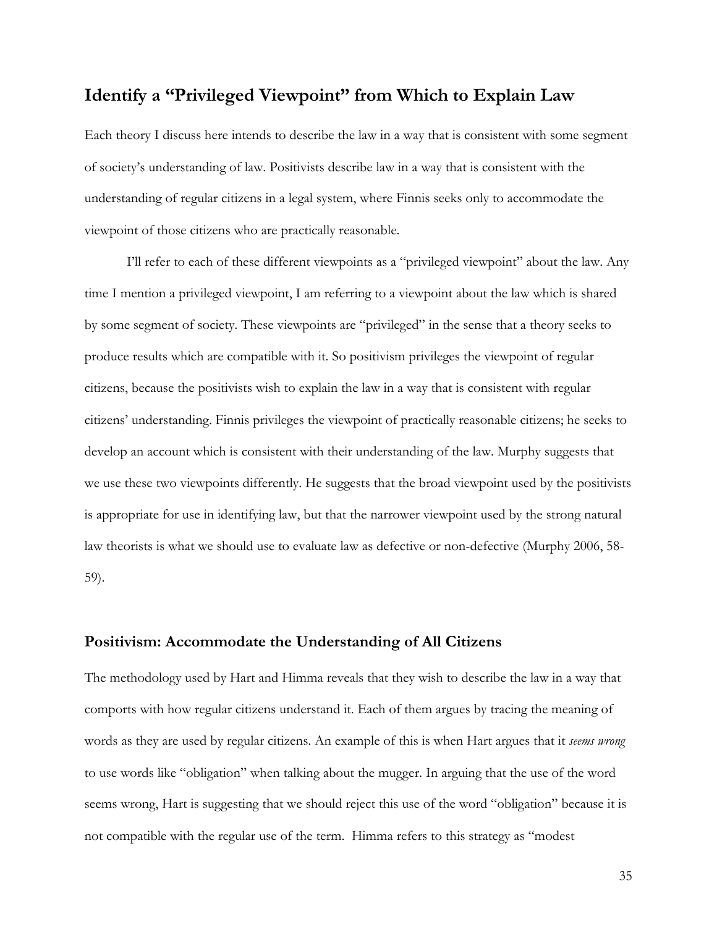## **Identify a "Privileged Viewpoint" from Which to Explain Law**

Each theory I discuss here intends to describe the law in a way that is consistent with some segment of society's understanding of law. Positivists describe law in a way that is consistent with the understanding of regular citizens in a legal system, where Finnis seeks only to accommodate the viewpoint of those citizens who are practically reasonable.

I'll refer to each of these different viewpoints as a "privileged viewpoint" about the law. Any time I mention a privileged viewpoint, I am referring to a viewpoint about the law which is shared by some segment of society. These viewpoints are "privileged" in the sense that a theory seeks to produce results which are compatible with it. So positivism privileges the viewpoint of regular citizens, because the positivists wish to explain the law in a way that is consistent with regular citizens' understanding. Finnis privileges the viewpoint of practically reasonable citizens; he seeks to develop an account which is consistent with their understanding of the law. Murphy suggests that we use these two viewpoints differently. He suggests that the broad viewpoint used by the positivists is appropriate for use in identifying law, but that the narrower viewpoint used by the strong natural law theorists is what we should use to evaluate law as defective or non-defective (Murphy 2006, 58- 59).

#### **Positivism: Accommodate the Understanding of All Citizens**

The methodology used by Hart and Himma reveals that they wish to describe the law in a way that comports with how regular citizens understand it. Each of them argues by tracing the meaning of words as they are used by regular citizens. An example of this is when Hart argues that it *seems wrong* to use words like "obligation" when talking about the mugger. In arguing that the use of the word seems wrong, Hart is suggesting that we should reject this use of the word "obligation" because it is not compatible with the regular use of the term. Himma refers to this strategy as "modest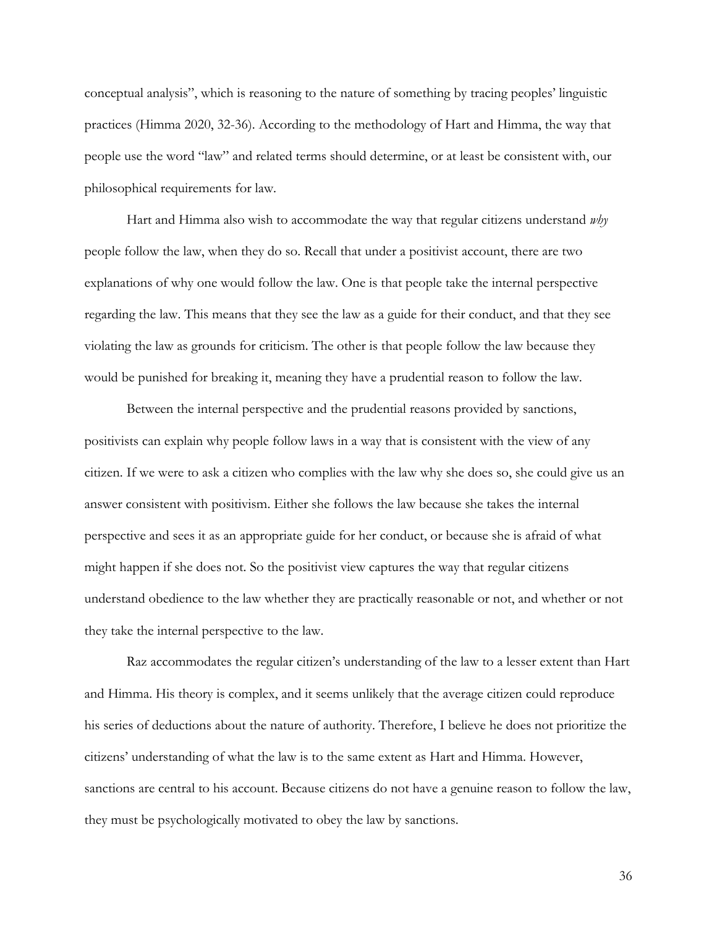conceptual analysis", which is reasoning to the nature of something by tracing peoples' linguistic practices (Himma 2020, 32-36). According to the methodology of Hart and Himma, the way that people use the word "law" and related terms should determine, or at least be consistent with, our philosophical requirements for law.

Hart and Himma also wish to accommodate the way that regular citizens understand *why*  people follow the law, when they do so. Recall that under a positivist account, there are two explanations of why one would follow the law. One is that people take the internal perspective regarding the law. This means that they see the law as a guide for their conduct, and that they see violating the law as grounds for criticism. The other is that people follow the law because they would be punished for breaking it, meaning they have a prudential reason to follow the law.

Between the internal perspective and the prudential reasons provided by sanctions, positivists can explain why people follow laws in a way that is consistent with the view of any citizen. If we were to ask a citizen who complies with the law why she does so, she could give us an answer consistent with positivism. Either she follows the law because she takes the internal perspective and sees it as an appropriate guide for her conduct, or because she is afraid of what might happen if she does not. So the positivist view captures the way that regular citizens understand obedience to the law whether they are practically reasonable or not, and whether or not they take the internal perspective to the law.

Raz accommodates the regular citizen's understanding of the law to a lesser extent than Hart and Himma. His theory is complex, and it seems unlikely that the average citizen could reproduce his series of deductions about the nature of authority. Therefore, I believe he does not prioritize the citizens' understanding of what the law is to the same extent as Hart and Himma. However, sanctions are central to his account. Because citizens do not have a genuine reason to follow the law, they must be psychologically motivated to obey the law by sanctions.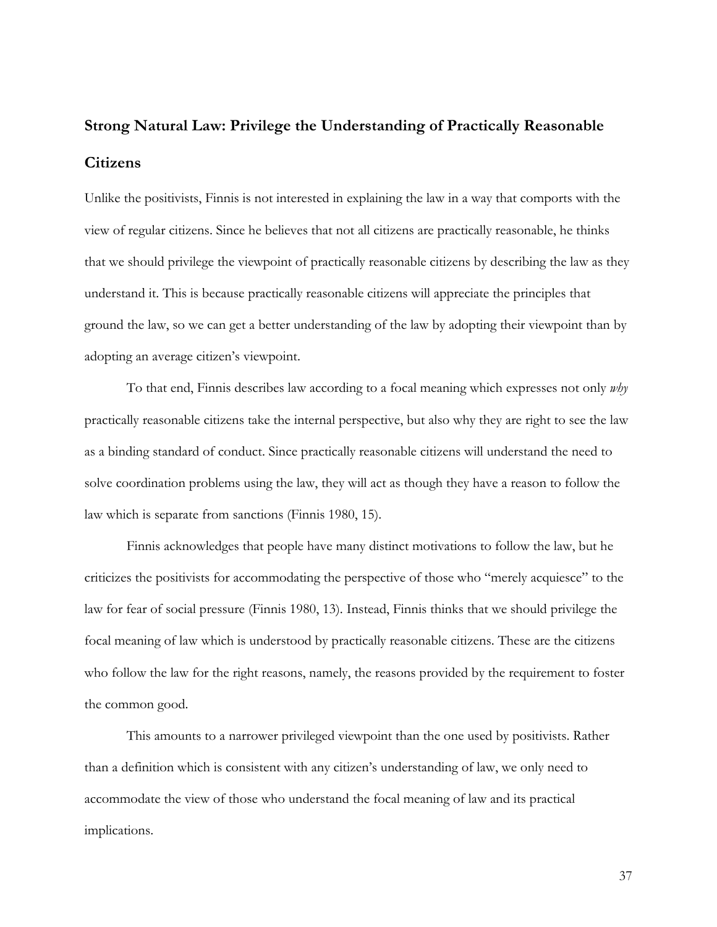# **Strong Natural Law: Privilege the Understanding of Practically Reasonable Citizens**

Unlike the positivists, Finnis is not interested in explaining the law in a way that comports with the view of regular citizens. Since he believes that not all citizens are practically reasonable, he thinks that we should privilege the viewpoint of practically reasonable citizens by describing the law as they understand it. This is because practically reasonable citizens will appreciate the principles that ground the law, so we can get a better understanding of the law by adopting their viewpoint than by adopting an average citizen's viewpoint.

To that end, Finnis describes law according to a focal meaning which expresses not only *why* practically reasonable citizens take the internal perspective, but also why they are right to see the law as a binding standard of conduct. Since practically reasonable citizens will understand the need to solve coordination problems using the law, they will act as though they have a reason to follow the law which is separate from sanctions (Finnis 1980, 15).

Finnis acknowledges that people have many distinct motivations to follow the law, but he criticizes the positivists for accommodating the perspective of those who "merely acquiesce" to the law for fear of social pressure (Finnis 1980, 13). Instead, Finnis thinks that we should privilege the focal meaning of law which is understood by practically reasonable citizens. These are the citizens who follow the law for the right reasons, namely, the reasons provided by the requirement to foster the common good.

This amounts to a narrower privileged viewpoint than the one used by positivists. Rather than a definition which is consistent with any citizen's understanding of law, we only need to accommodate the view of those who understand the focal meaning of law and its practical implications.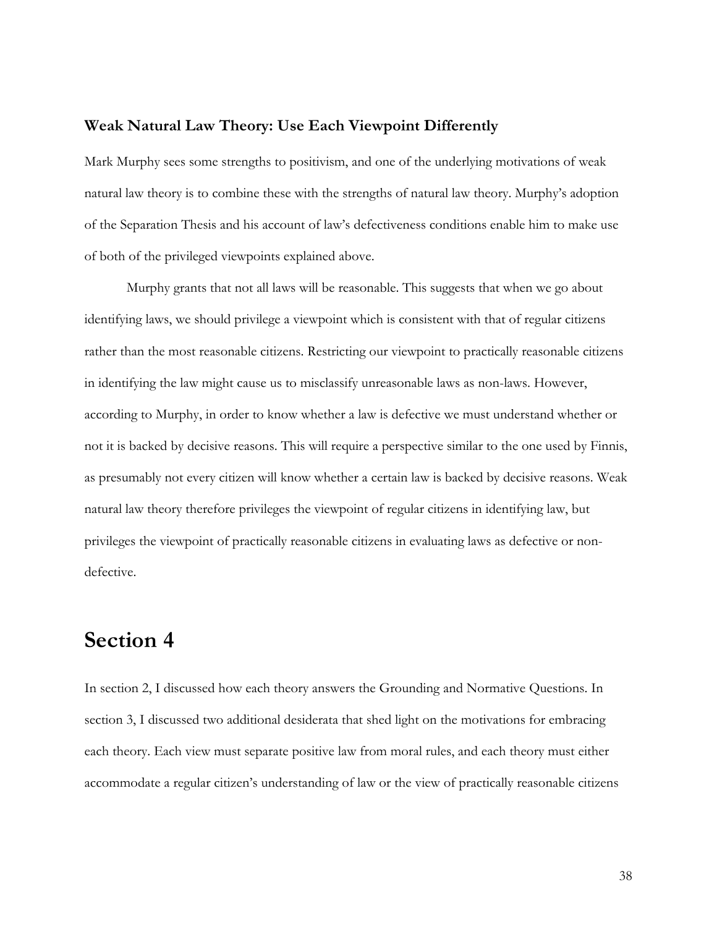#### **Weak Natural Law Theory: Use Each Viewpoint Differently**

Mark Murphy sees some strengths to positivism, and one of the underlying motivations of weak natural law theory is to combine these with the strengths of natural law theory. Murphy's adoption of the Separation Thesis and his account of law's defectiveness conditions enable him to make use of both of the privileged viewpoints explained above.

Murphy grants that not all laws will be reasonable. This suggests that when we go about identifying laws, we should privilege a viewpoint which is consistent with that of regular citizens rather than the most reasonable citizens. Restricting our viewpoint to practically reasonable citizens in identifying the law might cause us to misclassify unreasonable laws as non-laws. However, according to Murphy, in order to know whether a law is defective we must understand whether or not it is backed by decisive reasons. This will require a perspective similar to the one used by Finnis, as presumably not every citizen will know whether a certain law is backed by decisive reasons. Weak natural law theory therefore privileges the viewpoint of regular citizens in identifying law, but privileges the viewpoint of practically reasonable citizens in evaluating laws as defective or nondefective.

# **Section 4**

In section 2, I discussed how each theory answers the Grounding and Normative Questions. In section 3, I discussed two additional desiderata that shed light on the motivations for embracing each theory. Each view must separate positive law from moral rules, and each theory must either accommodate a regular citizen's understanding of law or the view of practically reasonable citizens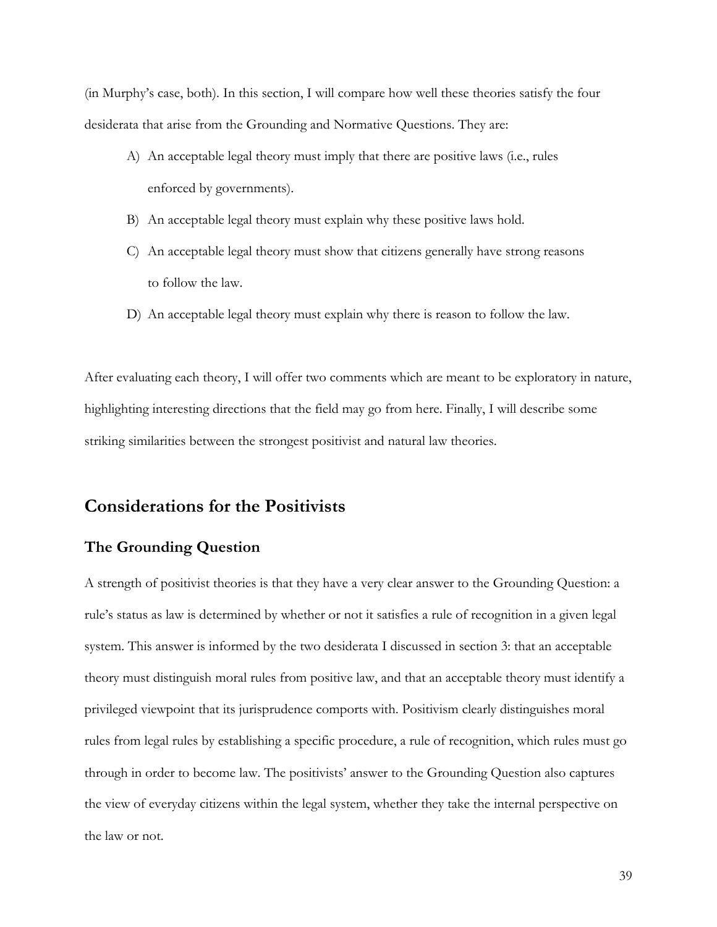(in Murphy's case, both). In this section, I will compare how well these theories satisfy the four desiderata that arise from the Grounding and Normative Questions. They are:

- A) An acceptable legal theory must imply that there are positive laws (i.e., rules enforced by governments).
- B) An acceptable legal theory must explain why these positive laws hold.
- C) An acceptable legal theory must show that citizens generally have strong reasons to follow the law.
- D) An acceptable legal theory must explain why there is reason to follow the law.

After evaluating each theory, I will offer two comments which are meant to be exploratory in nature, highlighting interesting directions that the field may go from here. Finally, I will describe some striking similarities between the strongest positivist and natural law theories.

## **Considerations for the Positivists**

## **The Grounding Question**

A strength of positivist theories is that they have a very clear answer to the Grounding Question: a rule's status as law is determined by whether or not it satisfies a rule of recognition in a given legal system. This answer is informed by the two desiderata I discussed in section 3: that an acceptable theory must distinguish moral rules from positive law, and that an acceptable theory must identify a privileged viewpoint that its jurisprudence comports with. Positivism clearly distinguishes moral rules from legal rules by establishing a specific procedure, a rule of recognition, which rules must go through in order to become law. The positivists' answer to the Grounding Question also captures the view of everyday citizens within the legal system, whether they take the internal perspective on the law or not.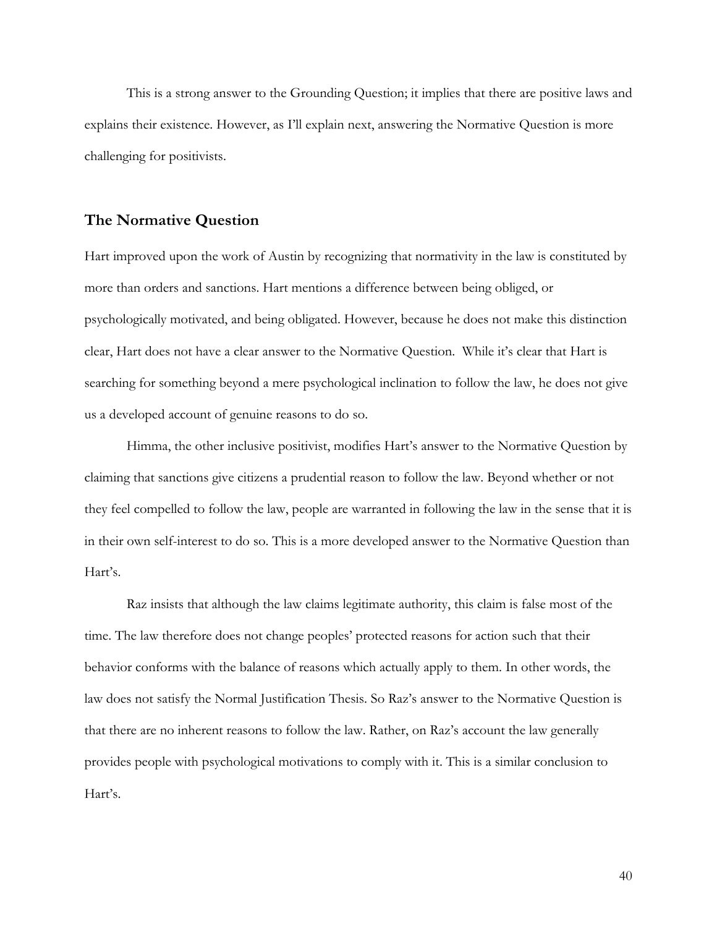This is a strong answer to the Grounding Question; it implies that there are positive laws and explains their existence. However, as I'll explain next, answering the Normative Question is more challenging for positivists.

### **The Normative Question**

Hart improved upon the work of Austin by recognizing that normativity in the law is constituted by more than orders and sanctions. Hart mentions a difference between being obliged, or psychologically motivated, and being obligated. However, because he does not make this distinction clear, Hart does not have a clear answer to the Normative Question. While it's clear that Hart is searching for something beyond a mere psychological inclination to follow the law, he does not give us a developed account of genuine reasons to do so.

Himma, the other inclusive positivist, modifies Hart's answer to the Normative Question by claiming that sanctions give citizens a prudential reason to follow the law. Beyond whether or not they feel compelled to follow the law, people are warranted in following the law in the sense that it is in their own self-interest to do so. This is a more developed answer to the Normative Question than Hart's.

Raz insists that although the law claims legitimate authority, this claim is false most of the time. The law therefore does not change peoples' protected reasons for action such that their behavior conforms with the balance of reasons which actually apply to them. In other words, the law does not satisfy the Normal Justification Thesis. So Raz's answer to the Normative Question is that there are no inherent reasons to follow the law. Rather, on Raz's account the law generally provides people with psychological motivations to comply with it. This is a similar conclusion to Hart's.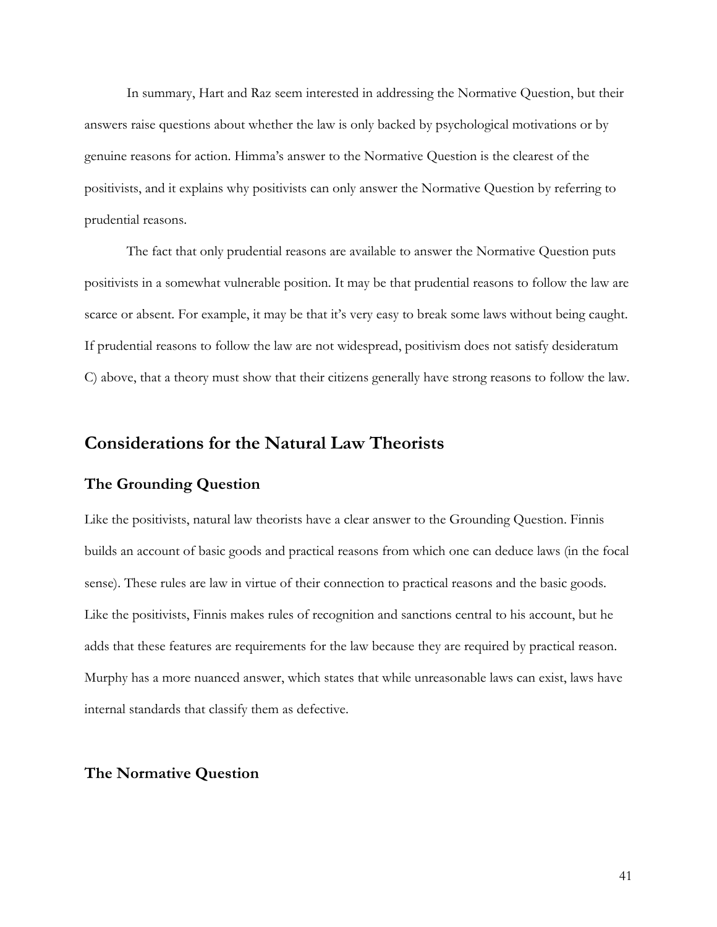In summary, Hart and Raz seem interested in addressing the Normative Question, but their answers raise questions about whether the law is only backed by psychological motivations or by genuine reasons for action. Himma's answer to the Normative Question is the clearest of the positivists, and it explains why positivists can only answer the Normative Question by referring to prudential reasons.

The fact that only prudential reasons are available to answer the Normative Question puts positivists in a somewhat vulnerable position. It may be that prudential reasons to follow the law are scarce or absent. For example, it may be that it's very easy to break some laws without being caught. If prudential reasons to follow the law are not widespread, positivism does not satisfy desideratum C) above, that a theory must show that their citizens generally have strong reasons to follow the law.

## **Considerations for the Natural Law Theorists**

## **The Grounding Question**

Like the positivists, natural law theorists have a clear answer to the Grounding Question. Finnis builds an account of basic goods and practical reasons from which one can deduce laws (in the focal sense). These rules are law in virtue of their connection to practical reasons and the basic goods. Like the positivists, Finnis makes rules of recognition and sanctions central to his account, but he adds that these features are requirements for the law because they are required by practical reason. Murphy has a more nuanced answer, which states that while unreasonable laws can exist, laws have internal standards that classify them as defective.

## **The Normative Question**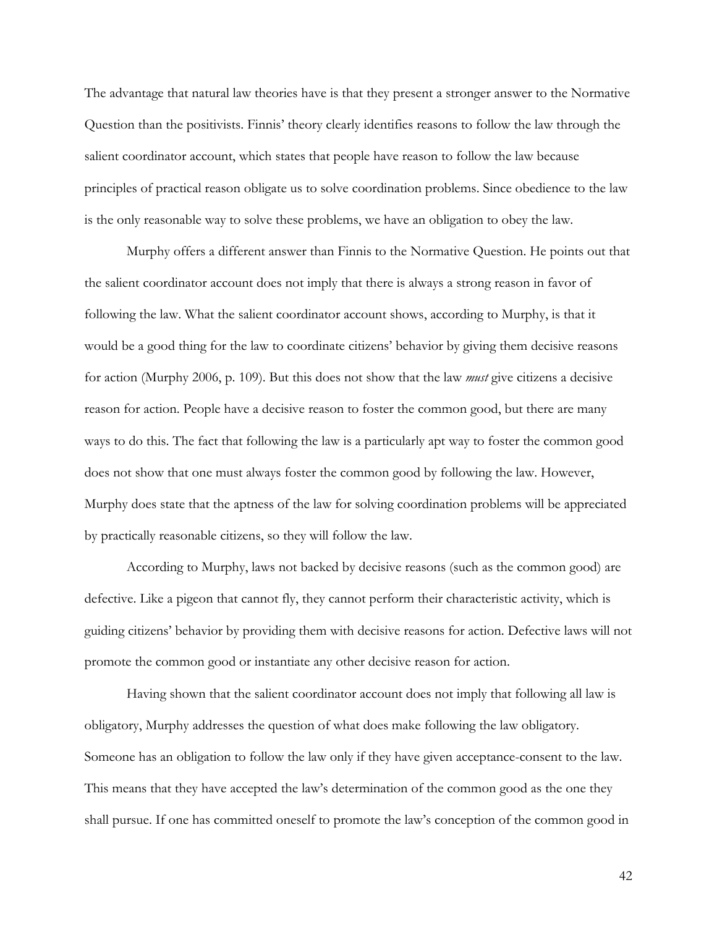The advantage that natural law theories have is that they present a stronger answer to the Normative Question than the positivists. Finnis' theory clearly identifies reasons to follow the law through the salient coordinator account, which states that people have reason to follow the law because principles of practical reason obligate us to solve coordination problems. Since obedience to the law is the only reasonable way to solve these problems, we have an obligation to obey the law.

Murphy offers a different answer than Finnis to the Normative Question. He points out that the salient coordinator account does not imply that there is always a strong reason in favor of following the law. What the salient coordinator account shows, according to Murphy, is that it would be a good thing for the law to coordinate citizens' behavior by giving them decisive reasons for action (Murphy 2006, p. 109). But this does not show that the law *must* give citizens a decisive reason for action. People have a decisive reason to foster the common good, but there are many ways to do this. The fact that following the law is a particularly apt way to foster the common good does not show that one must always foster the common good by following the law. However, Murphy does state that the aptness of the law for solving coordination problems will be appreciated by practically reasonable citizens, so they will follow the law.

According to Murphy, laws not backed by decisive reasons (such as the common good) are defective. Like a pigeon that cannot fly, they cannot perform their characteristic activity, which is guiding citizens' behavior by providing them with decisive reasons for action. Defective laws will not promote the common good or instantiate any other decisive reason for action.

Having shown that the salient coordinator account does not imply that following all law is obligatory, Murphy addresses the question of what does make following the law obligatory. Someone has an obligation to follow the law only if they have given acceptance-consent to the law. This means that they have accepted the law's determination of the common good as the one they shall pursue. If one has committed oneself to promote the law's conception of the common good in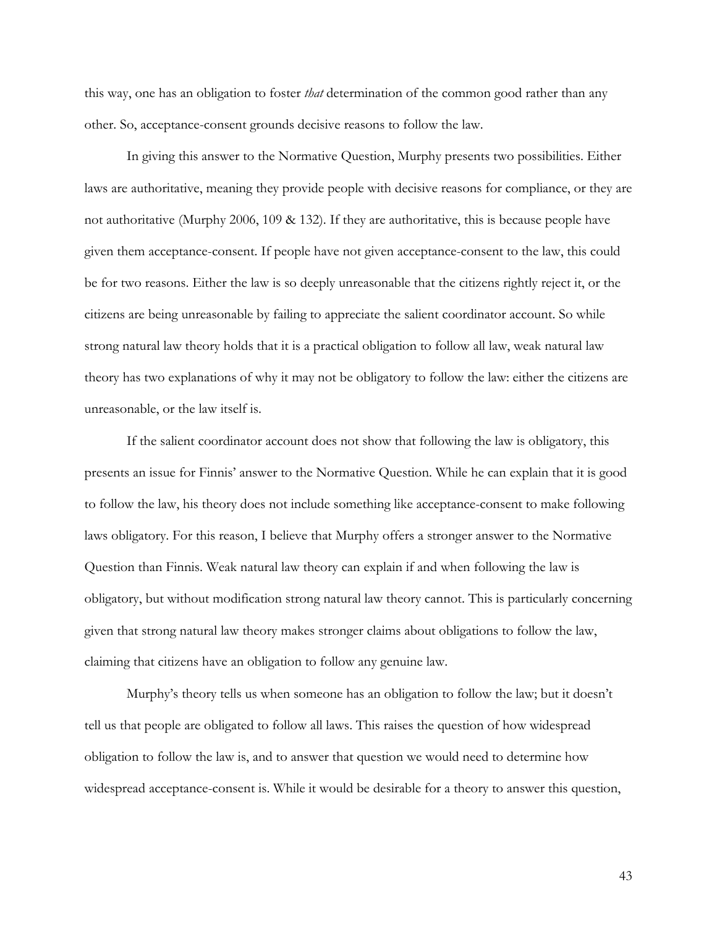this way, one has an obligation to foster *that* determination of the common good rather than any other. So, acceptance-consent grounds decisive reasons to follow the law.

In giving this answer to the Normative Question, Murphy presents two possibilities. Either laws are authoritative, meaning they provide people with decisive reasons for compliance, or they are not authoritative (Murphy 2006, 109 & 132). If they are authoritative, this is because people have given them acceptance-consent. If people have not given acceptance-consent to the law, this could be for two reasons. Either the law is so deeply unreasonable that the citizens rightly reject it, or the citizens are being unreasonable by failing to appreciate the salient coordinator account. So while strong natural law theory holds that it is a practical obligation to follow all law, weak natural law theory has two explanations of why it may not be obligatory to follow the law: either the citizens are unreasonable, or the law itself is.

If the salient coordinator account does not show that following the law is obligatory, this presents an issue for Finnis' answer to the Normative Question. While he can explain that it is good to follow the law, his theory does not include something like acceptance-consent to make following laws obligatory. For this reason, I believe that Murphy offers a stronger answer to the Normative Question than Finnis. Weak natural law theory can explain if and when following the law is obligatory, but without modification strong natural law theory cannot. This is particularly concerning given that strong natural law theory makes stronger claims about obligations to follow the law, claiming that citizens have an obligation to follow any genuine law.

Murphy's theory tells us when someone has an obligation to follow the law; but it doesn't tell us that people are obligated to follow all laws. This raises the question of how widespread obligation to follow the law is, and to answer that question we would need to determine how widespread acceptance-consent is. While it would be desirable for a theory to answer this question,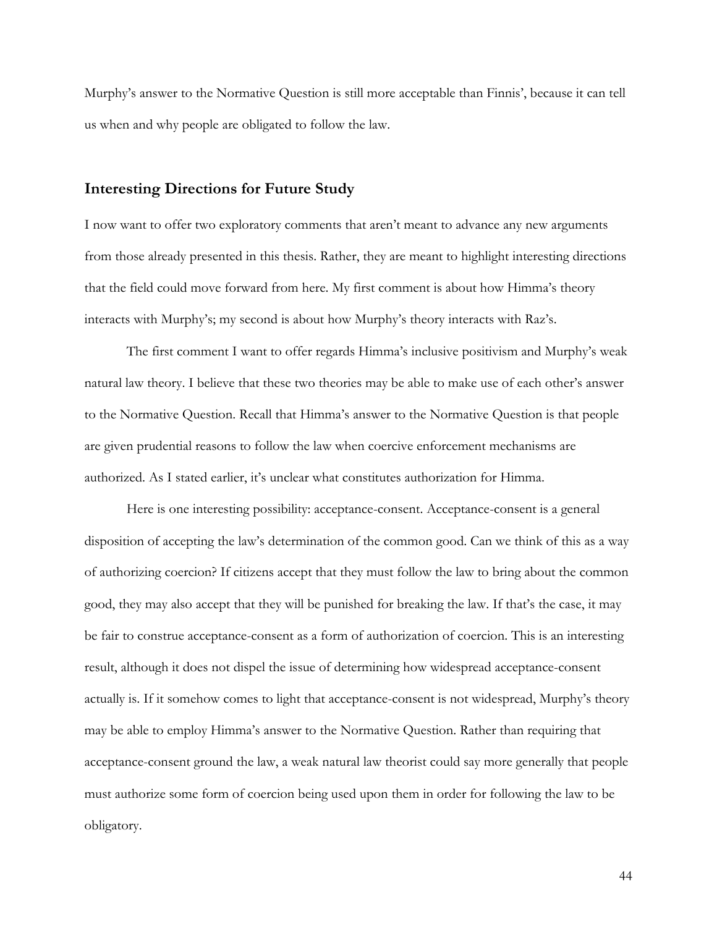Murphy's answer to the Normative Question is still more acceptable than Finnis', because it can tell us when and why people are obligated to follow the law.

### **Interesting Directions for Future Study**

I now want to offer two exploratory comments that aren't meant to advance any new arguments from those already presented in this thesis. Rather, they are meant to highlight interesting directions that the field could move forward from here. My first comment is about how Himma's theory interacts with Murphy's; my second is about how Murphy's theory interacts with Raz's.

The first comment I want to offer regards Himma's inclusive positivism and Murphy's weak natural law theory. I believe that these two theories may be able to make use of each other's answer to the Normative Question. Recall that Himma's answer to the Normative Question is that people are given prudential reasons to follow the law when coercive enforcement mechanisms are authorized. As I stated earlier, it's unclear what constitutes authorization for Himma.

Here is one interesting possibility: acceptance-consent. Acceptance-consent is a general disposition of accepting the law's determination of the common good. Can we think of this as a way of authorizing coercion? If citizens accept that they must follow the law to bring about the common good, they may also accept that they will be punished for breaking the law. If that's the case, it may be fair to construe acceptance-consent as a form of authorization of coercion. This is an interesting result, although it does not dispel the issue of determining how widespread acceptance-consent actually is. If it somehow comes to light that acceptance-consent is not widespread, Murphy's theory may be able to employ Himma's answer to the Normative Question. Rather than requiring that acceptance-consent ground the law, a weak natural law theorist could say more generally that people must authorize some form of coercion being used upon them in order for following the law to be obligatory.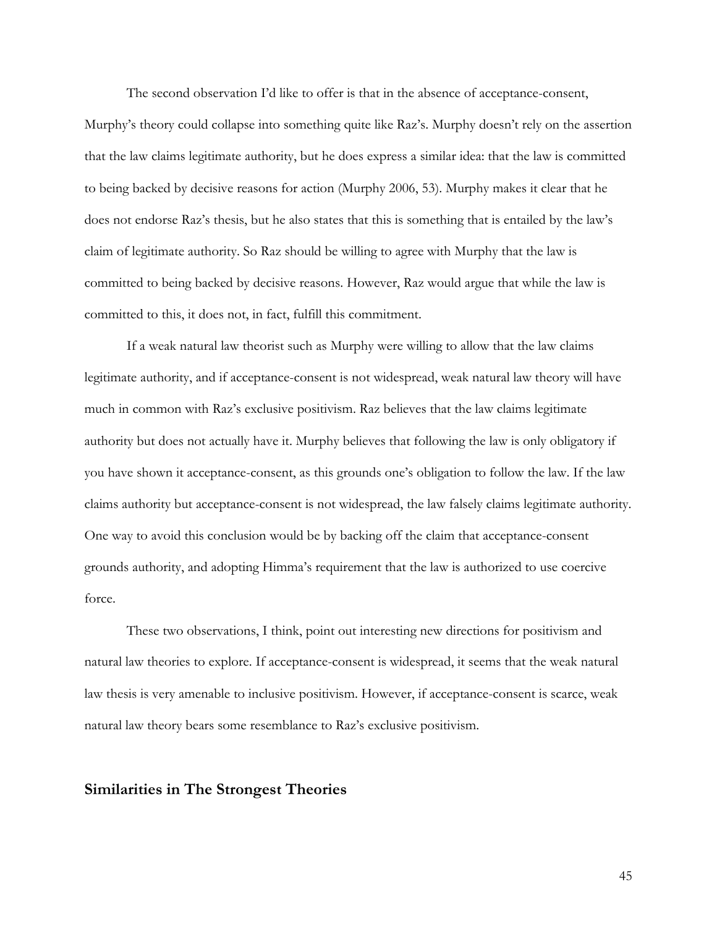The second observation I'd like to offer is that in the absence of acceptance-consent, Murphy's theory could collapse into something quite like Raz's. Murphy doesn't rely on the assertion that the law claims legitimate authority, but he does express a similar idea: that the law is committed to being backed by decisive reasons for action (Murphy 2006, 53). Murphy makes it clear that he does not endorse Raz's thesis, but he also states that this is something that is entailed by the law's claim of legitimate authority. So Raz should be willing to agree with Murphy that the law is committed to being backed by decisive reasons. However, Raz would argue that while the law is committed to this, it does not, in fact, fulfill this commitment.

If a weak natural law theorist such as Murphy were willing to allow that the law claims legitimate authority, and if acceptance-consent is not widespread, weak natural law theory will have much in common with Raz's exclusive positivism. Raz believes that the law claims legitimate authority but does not actually have it. Murphy believes that following the law is only obligatory if you have shown it acceptance-consent, as this grounds one's obligation to follow the law. If the law claims authority but acceptance-consent is not widespread, the law falsely claims legitimate authority. One way to avoid this conclusion would be by backing off the claim that acceptance-consent grounds authority, and adopting Himma's requirement that the law is authorized to use coercive force.

These two observations, I think, point out interesting new directions for positivism and natural law theories to explore. If acceptance-consent is widespread, it seems that the weak natural law thesis is very amenable to inclusive positivism. However, if acceptance-consent is scarce, weak natural law theory bears some resemblance to Raz's exclusive positivism.

### **Similarities in The Strongest Theories**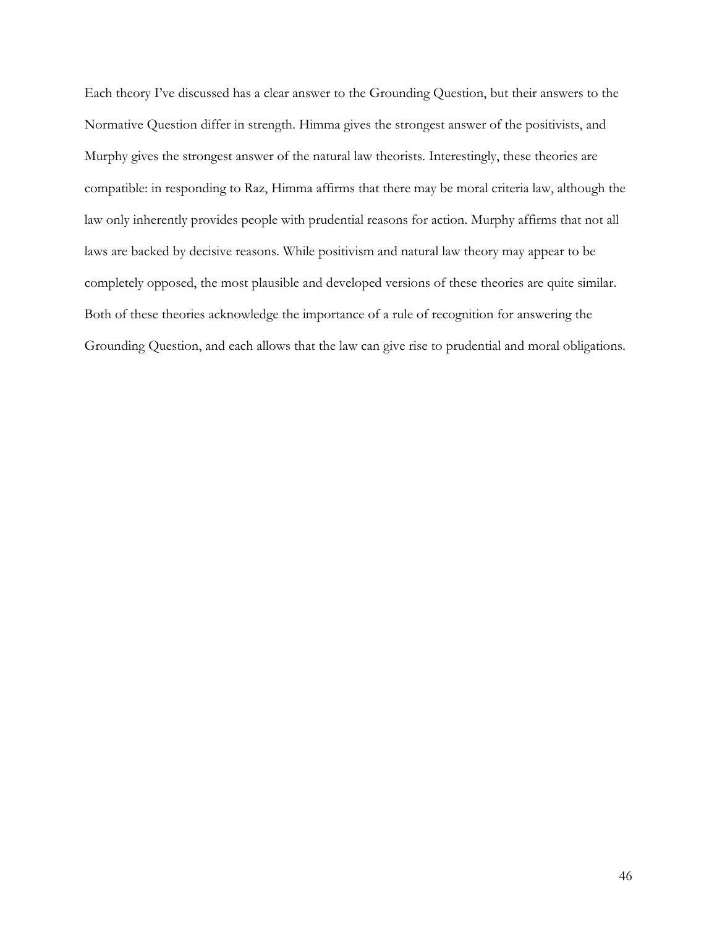Each theory I've discussed has a clear answer to the Grounding Question, but their answers to the Normative Question differ in strength. Himma gives the strongest answer of the positivists, and Murphy gives the strongest answer of the natural law theorists. Interestingly, these theories are compatible: in responding to Raz, Himma affirms that there may be moral criteria law, although the law only inherently provides people with prudential reasons for action. Murphy affirms that not all laws are backed by decisive reasons. While positivism and natural law theory may appear to be completely opposed, the most plausible and developed versions of these theories are quite similar. Both of these theories acknowledge the importance of a rule of recognition for answering the Grounding Question, and each allows that the law can give rise to prudential and moral obligations.